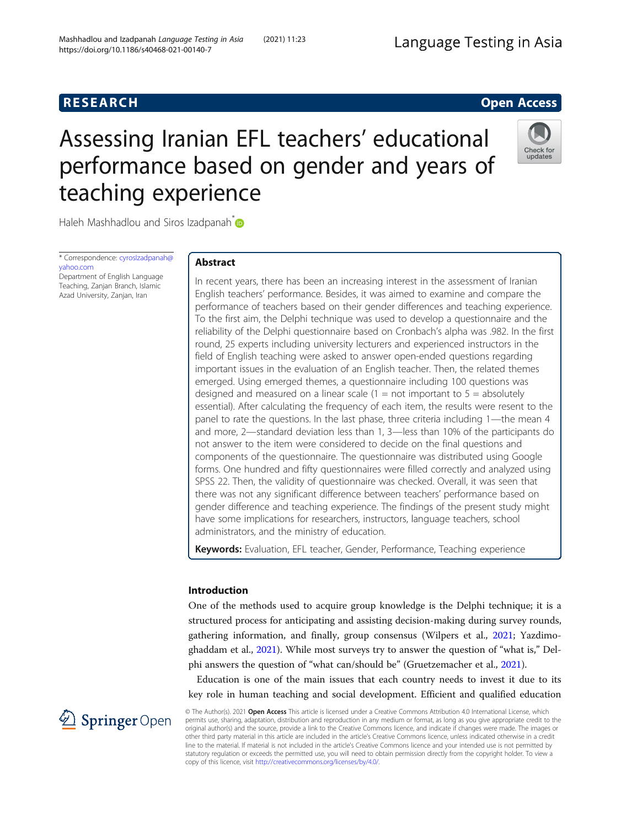# **RESEARCH RESEARCH CONSUMING ACCESS**

# Assessing Iranian EFL teachers' educational performance based on gender and years of teaching experience



Haleh Mashhadlou and Siros Izadpanah<sup>[\\*](http://orcid.org/0000-0002-2061-8110)</sup>

\* Correspondence: [cyrosIzadpanah@](mailto:cyrosIzadpanah@yahoo.com) [yahoo.com](mailto:cyrosIzadpanah@yahoo.com)

Department of English Language Teaching, Zanjan Branch, Islamic Azad University, Zanjan, Iran

# Abstract

In recent years, there has been an increasing interest in the assessment of Iranian English teachers' performance. Besides, it was aimed to examine and compare the performance of teachers based on their gender differences and teaching experience. To the first aim, the Delphi technique was used to develop a questionnaire and the reliability of the Delphi questionnaire based on Cronbach's alpha was .982. In the first round, 25 experts including university lecturers and experienced instructors in the field of English teaching were asked to answer open-ended questions regarding important issues in the evaluation of an English teacher. Then, the related themes emerged. Using emerged themes, a questionnaire including 100 questions was designed and measured on a linear scale  $(1 = not important to 5 = absolutely)$ essential). After calculating the frequency of each item, the results were resent to the panel to rate the questions. In the last phase, three criteria including 1—the mean 4 and more, 2—standard deviation less than 1, 3—less than 10% of the participants do not answer to the item were considered to decide on the final questions and components of the questionnaire. The questionnaire was distributed using Google forms. One hundred and fifty questionnaires were filled correctly and analyzed using SPSS 22. Then, the validity of questionnaire was checked. Overall, it was seen that there was not any significant difference between teachers' performance based on gender difference and teaching experience. The findings of the present study might have some implications for researchers, instructors, language teachers, school administrators, and the ministry of education.

Keywords: Evaluation, EFL teacher, Gender, Performance, Teaching experience

# Introduction

One of the methods used to acquire group knowledge is the Delphi technique; it is a structured process for anticipating and assisting decision-making during survey rounds, gathering information, and finally, group consensus (Wilpers et al., [2021](#page-24-0); Yazdimoghaddam et al., [2021\)](#page-25-0). While most surveys try to answer the question of "what is," Delphi answers the question of "what can/should be" (Gruetzemacher et al., [2021](#page-23-0)).

Education is one of the main issues that each country needs to invest it due to its key role in human teaching and social development. Efficient and qualified education

2 Springer Open

© The Author(s). 2021 Open Access This article is licensed under a Creative Commons Attribution 4.0 International License, which permits use, sharing, adaptation, distribution and reproduction in any medium or format, as long as you give appropriate credit to the original author(s) and the source, provide a link to the Creative Commons licence, and indicate if changes were made. The images or other third party material in this article are included in the article's Creative Commons licence, unless indicated otherwise in a credit line to the material. If material is not included in the article's Creative Commons licence and your intended use is not permitted by statutory regulation or exceeds the permitted use, you will need to obtain permission directly from the copyright holder. To view a copy of this licence, visit <http://creativecommons.org/licenses/by/4.0/>.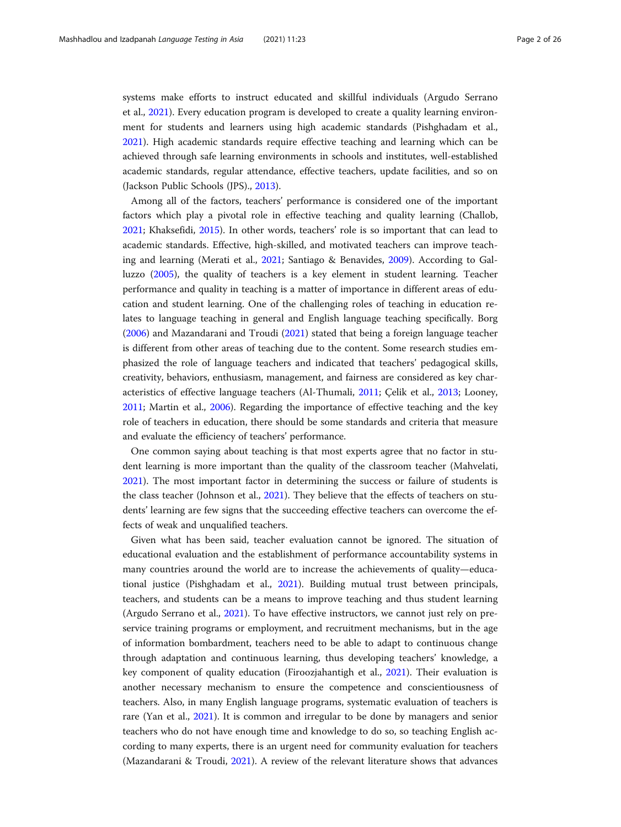systems make efforts to instruct educated and skillful individuals (Argudo Serrano et al., [2021](#page-22-0)). Every education program is developed to create a quality learning environment for students and learners using high academic standards (Pishghadam et al., [2021](#page-24-0)). High academic standards require effective teaching and learning which can be achieved through safe learning environments in schools and institutes, well-established academic standards, regular attendance, effective teachers, update facilities, and so on (Jackson Public Schools (JPS)., [2013](#page-23-0)).

Among all of the factors, teachers' performance is considered one of the important factors which play a pivotal role in effective teaching and quality learning (Challob, [2021](#page-23-0); Khaksefidi, [2015\)](#page-24-0). In other words, teachers' role is so important that can lead to academic standards. Effective, high-skilled, and motivated teachers can improve teaching and learning (Merati et al., [2021](#page-24-0); Santiago & Benavides, [2009](#page-24-0)). According to Galluzzo [\(2005\)](#page-23-0), the quality of teachers is a key element in student learning. Teacher performance and quality in teaching is a matter of importance in different areas of education and student learning. One of the challenging roles of teaching in education relates to language teaching in general and English language teaching specifically. Borg ([2006](#page-23-0)) and Mazandarani and Troudi [\(2021\)](#page-24-0) stated that being a foreign language teacher is different from other areas of teaching due to the content. Some research studies emphasized the role of language teachers and indicated that teachers' pedagogical skills, creativity, behaviors, enthusiasm, management, and fairness are considered as key characteristics of effective language teachers (Al-Thumali, [2011;](#page-22-0) Çelik et al., [2013;](#page-23-0) Looney, [2011](#page-24-0); Martin et al., [2006\)](#page-24-0). Regarding the importance of effective teaching and the key role of teachers in education, there should be some standards and criteria that measure and evaluate the efficiency of teachers' performance.

One common saying about teaching is that most experts agree that no factor in student learning is more important than the quality of the classroom teacher (Mahvelati, [2021](#page-24-0)). The most important factor in determining the success or failure of students is the class teacher (Johnson et al., [2021\)](#page-23-0). They believe that the effects of teachers on students' learning are few signs that the succeeding effective teachers can overcome the effects of weak and unqualified teachers.

Given what has been said, teacher evaluation cannot be ignored. The situation of educational evaluation and the establishment of performance accountability systems in many countries around the world are to increase the achievements of quality—educational justice (Pishghadam et al., [2021](#page-24-0)). Building mutual trust between principals, teachers, and students can be a means to improve teaching and thus student learning (Argudo Serrano et al., [2021\)](#page-22-0). To have effective instructors, we cannot just rely on preservice training programs or employment, and recruitment mechanisms, but in the age of information bombardment, teachers need to be able to adapt to continuous change through adaptation and continuous learning, thus developing teachers' knowledge, a key component of quality education (Firoozjahantigh et al., [2021\)](#page-23-0). Their evaluation is another necessary mechanism to ensure the competence and conscientiousness of teachers. Also, in many English language programs, systematic evaluation of teachers is rare (Yan et al., [2021](#page-25-0)). It is common and irregular to be done by managers and senior teachers who do not have enough time and knowledge to do so, so teaching English according to many experts, there is an urgent need for community evaluation for teachers (Mazandarani & Troudi, [2021](#page-24-0)). A review of the relevant literature shows that advances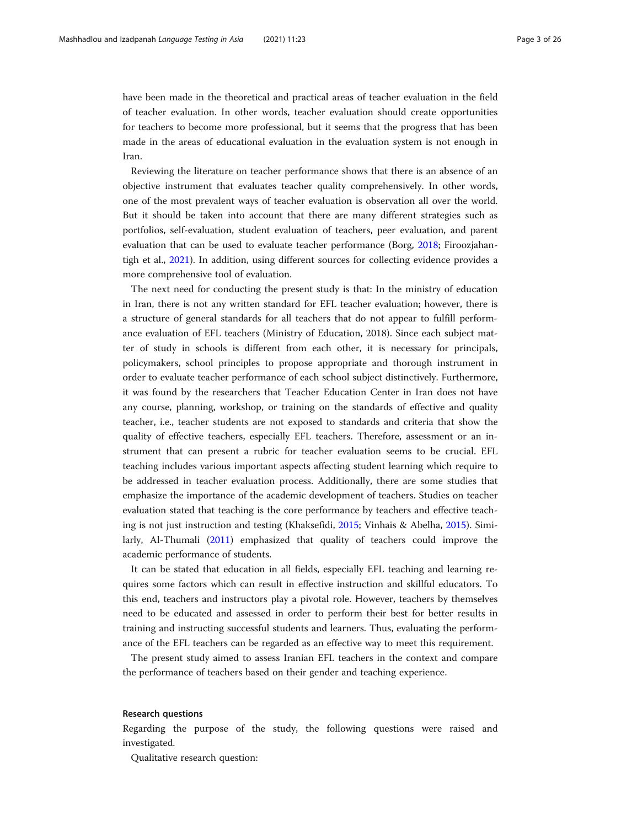have been made in the theoretical and practical areas of teacher evaluation in the field of teacher evaluation. In other words, teacher evaluation should create opportunities for teachers to become more professional, but it seems that the progress that has been made in the areas of educational evaluation in the evaluation system is not enough in Iran.

Reviewing the literature on teacher performance shows that there is an absence of an objective instrument that evaluates teacher quality comprehensively. In other words, one of the most prevalent ways of teacher evaluation is observation all over the world. But it should be taken into account that there are many different strategies such as portfolios, self-evaluation, student evaluation of teachers, peer evaluation, and parent evaluation that can be used to evaluate teacher performance (Borg, [2018](#page-23-0); Firoozjahantigh et al., [2021](#page-23-0)). In addition, using different sources for collecting evidence provides a more comprehensive tool of evaluation.

The next need for conducting the present study is that: In the ministry of education in Iran, there is not any written standard for EFL teacher evaluation; however, there is a structure of general standards for all teachers that do not appear to fulfill performance evaluation of EFL teachers (Ministry of Education, 2018). Since each subject matter of study in schools is different from each other, it is necessary for principals, policymakers, school principles to propose appropriate and thorough instrument in order to evaluate teacher performance of each school subject distinctively. Furthermore, it was found by the researchers that Teacher Education Center in Iran does not have any course, planning, workshop, or training on the standards of effective and quality teacher, i.e., teacher students are not exposed to standards and criteria that show the quality of effective teachers, especially EFL teachers. Therefore, assessment or an instrument that can present a rubric for teacher evaluation seems to be crucial. EFL teaching includes various important aspects affecting student learning which require to be addressed in teacher evaluation process. Additionally, there are some studies that emphasize the importance of the academic development of teachers. Studies on teacher evaluation stated that teaching is the core performance by teachers and effective teaching is not just instruction and testing (Khaksefidi, [2015](#page-24-0); Vinhais & Abelha, [2015](#page-24-0)). Similarly, Al-Thumali [\(2011\)](#page-22-0) emphasized that quality of teachers could improve the academic performance of students.

It can be stated that education in all fields, especially EFL teaching and learning requires some factors which can result in effective instruction and skillful educators. To this end, teachers and instructors play a pivotal role. However, teachers by themselves need to be educated and assessed in order to perform their best for better results in training and instructing successful students and learners. Thus, evaluating the performance of the EFL teachers can be regarded as an effective way to meet this requirement.

The present study aimed to assess Iranian EFL teachers in the context and compare the performance of teachers based on their gender and teaching experience.

#### Research questions

Regarding the purpose of the study, the following questions were raised and investigated.

Qualitative research question: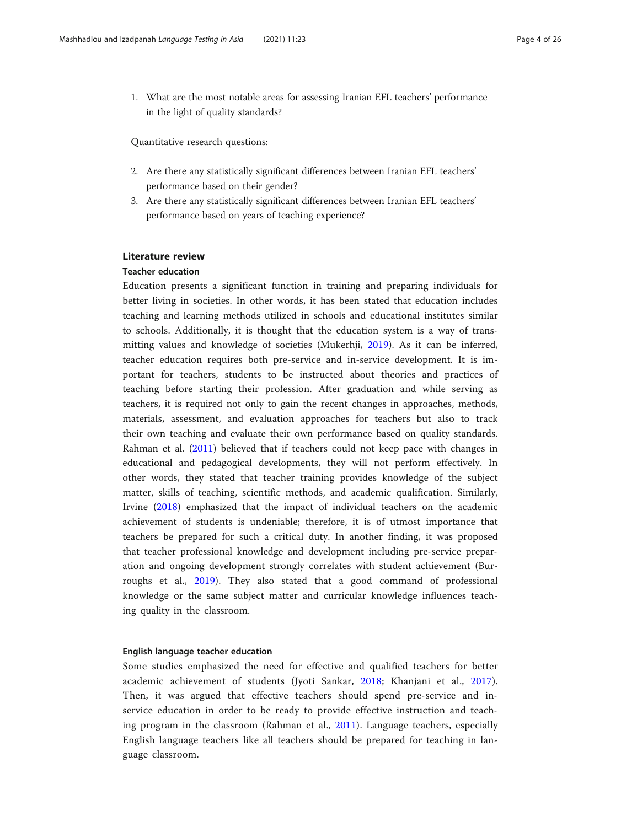1. What are the most notable areas for assessing Iranian EFL teachers' performance in the light of quality standards?

Quantitative research questions:

- 2. Are there any statistically significant differences between Iranian EFL teachers' performance based on their gender?
- 3. Are there any statistically significant differences between Iranian EFL teachers' performance based on years of teaching experience?

# Literature review

#### Teacher education

Education presents a significant function in training and preparing individuals for better living in societies. In other words, it has been stated that education includes teaching and learning methods utilized in schools and educational institutes similar to schools. Additionally, it is thought that the education system is a way of transmitting values and knowledge of societies (Mukerhji, [2019\)](#page-24-0). As it can be inferred, teacher education requires both pre-service and in-service development. It is important for teachers, students to be instructed about theories and practices of teaching before starting their profession. After graduation and while serving as teachers, it is required not only to gain the recent changes in approaches, methods, materials, assessment, and evaluation approaches for teachers but also to track their own teaching and evaluate their own performance based on quality standards. Rahman et al. ([2011\)](#page-24-0) believed that if teachers could not keep pace with changes in educational and pedagogical developments, they will not perform effectively. In other words, they stated that teacher training provides knowledge of the subject matter, skills of teaching, scientific methods, and academic qualification. Similarly, Irvine [\(2018](#page-23-0)) emphasized that the impact of individual teachers on the academic achievement of students is undeniable; therefore, it is of utmost importance that teachers be prepared for such a critical duty. In another finding, it was proposed that teacher professional knowledge and development including pre-service preparation and ongoing development strongly correlates with student achievement (Burroughs et al., [2019](#page-23-0)). They also stated that a good command of professional knowledge or the same subject matter and curricular knowledge influences teaching quality in the classroom.

#### English language teacher education

Some studies emphasized the need for effective and qualified teachers for better academic achievement of students (Jyoti Sankar, [2018](#page-23-0); Khanjani et al., [2017](#page-24-0)). Then, it was argued that effective teachers should spend pre-service and inservice education in order to be ready to provide effective instruction and teaching program in the classroom (Rahman et al., [2011\)](#page-24-0). Language teachers, especially English language teachers like all teachers should be prepared for teaching in language classroom.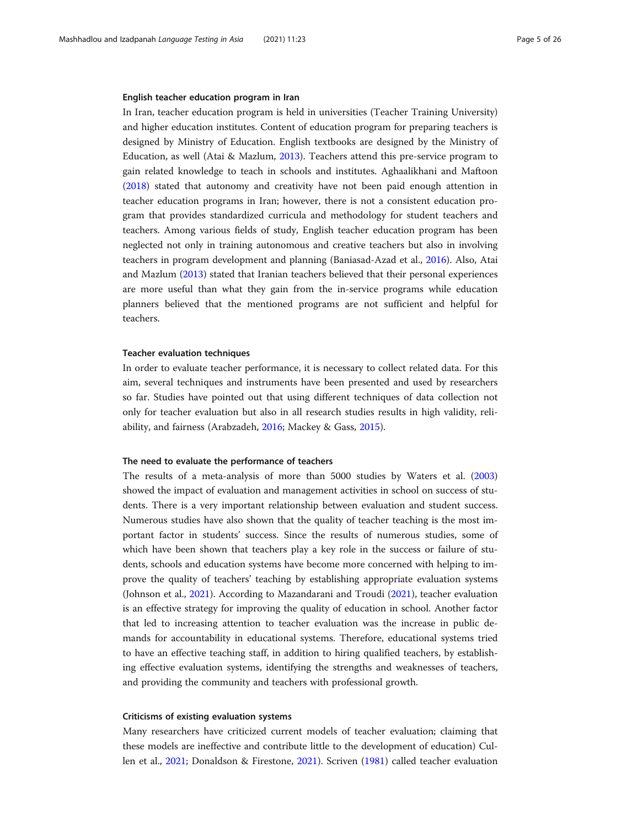#### English teacher education program in Iran

In Iran, teacher education program is held in universities (Teacher Training University) and higher education institutes. Content of education program for preparing teachers is designed by Ministry of Education. English textbooks are designed by the Ministry of Education, as well (Atai & Mazlum, [2013\)](#page-22-0). Teachers attend this pre-service program to gain related knowledge to teach in schools and institutes. Aghaalikhani and Maftoon ([2018](#page-22-0)) stated that autonomy and creativity have not been paid enough attention in teacher education programs in Iran; however, there is not a consistent education program that provides standardized curricula and methodology for student teachers and teachers. Among various fields of study, English teacher education program has been neglected not only in training autonomous and creative teachers but also in involving teachers in program development and planning (Baniasad-Azad et al., [2016](#page-22-0)). Also, Atai and Mazlum ([2013](#page-22-0)) stated that Iranian teachers believed that their personal experiences are more useful than what they gain from the in-service programs while education planners believed that the mentioned programs are not sufficient and helpful for teachers.

#### Teacher evaluation techniques

In order to evaluate teacher performance, it is necessary to collect related data. For this aim, several techniques and instruments have been presented and used by researchers so far. Studies have pointed out that using different techniques of data collection not only for teacher evaluation but also in all research studies results in high validity, reliability, and fairness (Arabzadeh, [2016;](#page-22-0) Mackey & Gass, [2015\)](#page-24-0).

#### The need to evaluate the performance of teachers

The results of a meta-analysis of more than 5000 studies by Waters et al. ([2003](#page-24-0)) showed the impact of evaluation and management activities in school on success of students. There is a very important relationship between evaluation and student success. Numerous studies have also shown that the quality of teacher teaching is the most important factor in students' success. Since the results of numerous studies, some of which have been shown that teachers play a key role in the success or failure of students, schools and education systems have become more concerned with helping to improve the quality of teachers' teaching by establishing appropriate evaluation systems (Johnson et al., [2021](#page-23-0)). According to Mazandarani and Troudi [\(2021\)](#page-24-0), teacher evaluation is an effective strategy for improving the quality of education in school. Another factor that led to increasing attention to teacher evaluation was the increase in public demands for accountability in educational systems. Therefore, educational systems tried to have an effective teaching staff, in addition to hiring qualified teachers, by establishing effective evaluation systems, identifying the strengths and weaknesses of teachers, and providing the community and teachers with professional growth.

#### Criticisms of existing evaluation systems

Many researchers have criticized current models of teacher evaluation; claiming that these models are ineffective and contribute little to the development of education) Cullen et al., [2021](#page-23-0); Donaldson & Firestone, [2021\)](#page-23-0). Scriven ([1981](#page-24-0)) called teacher evaluation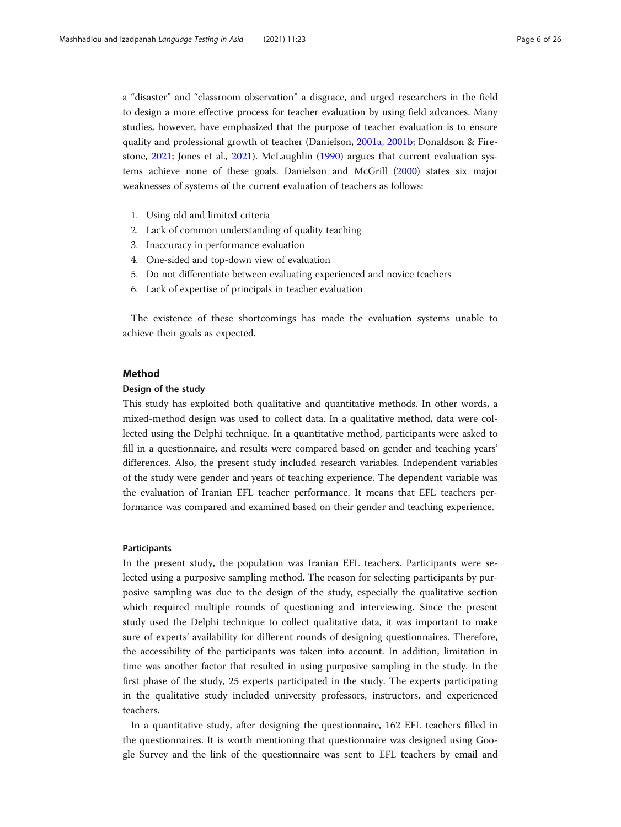a "disaster" and "classroom observation" a disgrace, and urged researchers in the field to design a more effective process for teacher evaluation by using field advances. Many studies, however, have emphasized that the purpose of teacher evaluation is to ensure quality and professional growth of teacher (Danielson, [2001a](#page-23-0), [2001b](#page-23-0); Donaldson & Firestone, [2021;](#page-23-0) Jones et al., [2021\)](#page-23-0). McLaughlin ([1990](#page-24-0)) argues that current evaluation systems achieve none of these goals. Danielson and McGrill [\(2000](#page-23-0)) states six major weaknesses of systems of the current evaluation of teachers as follows:

- 1. Using old and limited criteria
- 2. Lack of common understanding of quality teaching
- 3. Inaccuracy in performance evaluation
- 4. One-sided and top-down view of evaluation
- 5. Do not differentiate between evaluating experienced and novice teachers
- 6. Lack of expertise of principals in teacher evaluation

The existence of these shortcomings has made the evaluation systems unable to achieve their goals as expected.

#### Method

### Design of the study

This study has exploited both qualitative and quantitative methods. In other words, a mixed-method design was used to collect data. In a qualitative method, data were collected using the Delphi technique. In a quantitative method, participants were asked to fill in a questionnaire, and results were compared based on gender and teaching years' differences. Also, the present study included research variables. Independent variables of the study were gender and years of teaching experience. The dependent variable was the evaluation of Iranian EFL teacher performance. It means that EFL teachers performance was compared and examined based on their gender and teaching experience.

#### Participants

In the present study, the population was Iranian EFL teachers. Participants were selected using a purposive sampling method. The reason for selecting participants by purposive sampling was due to the design of the study, especially the qualitative section which required multiple rounds of questioning and interviewing. Since the present study used the Delphi technique to collect qualitative data, it was important to make sure of experts' availability for different rounds of designing questionnaires. Therefore, the accessibility of the participants was taken into account. In addition, limitation in time was another factor that resulted in using purposive sampling in the study. In the first phase of the study, 25 experts participated in the study. The experts participating in the qualitative study included university professors, instructors, and experienced teachers.

In a quantitative study, after designing the questionnaire, 162 EFL teachers filled in the questionnaires. It is worth mentioning that questionnaire was designed using Google Survey and the link of the questionnaire was sent to EFL teachers by email and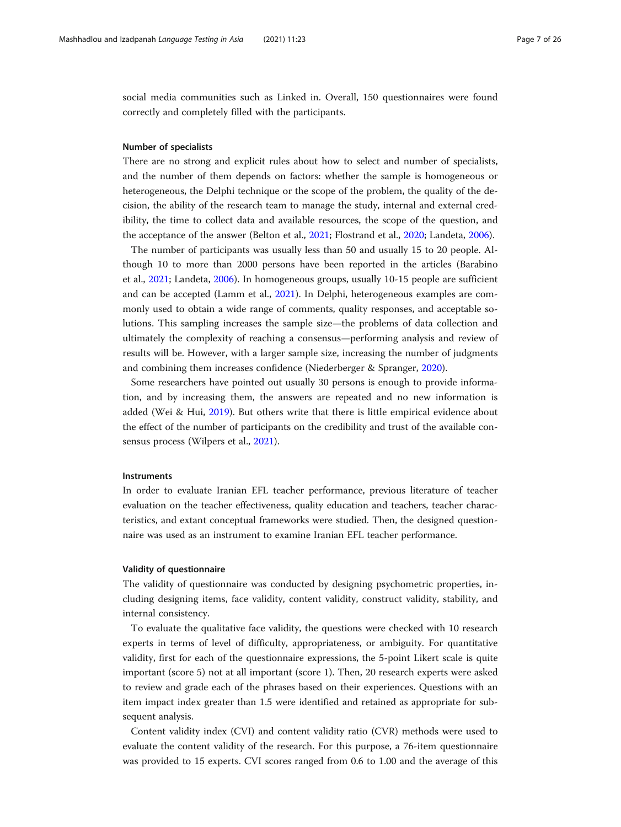social media communities such as Linked in. Overall, 150 questionnaires were found correctly and completely filled with the participants.

#### Number of specialists

There are no strong and explicit rules about how to select and number of specialists, and the number of them depends on factors: whether the sample is homogeneous or heterogeneous, the Delphi technique or the scope of the problem, the quality of the decision, the ability of the research team to manage the study, internal and external credibility, the time to collect data and available resources, the scope of the question, and the acceptance of the answer (Belton et al., [2021](#page-22-0); Flostrand et al., [2020;](#page-23-0) Landeta, [2006](#page-24-0)).

The number of participants was usually less than 50 and usually 15 to 20 people. Although 10 to more than 2000 persons have been reported in the articles (Barabino et al., [2021](#page-22-0); Landeta, [2006\)](#page-24-0). In homogeneous groups, usually 10-15 people are sufficient and can be accepted (Lamm et al., [2021](#page-24-0)). In Delphi, heterogeneous examples are commonly used to obtain a wide range of comments, quality responses, and acceptable solutions. This sampling increases the sample size—the problems of data collection and ultimately the complexity of reaching a consensus—performing analysis and review of results will be. However, with a larger sample size, increasing the number of judgments and combining them increases confidence (Niederberger & Spranger, [2020](#page-24-0)).

Some researchers have pointed out usually 30 persons is enough to provide information, and by increasing them, the answers are repeated and no new information is added (Wei & Hui, [2019](#page-24-0)). But others write that there is little empirical evidence about the effect of the number of participants on the credibility and trust of the available consensus process (Wilpers et al., [2021\)](#page-24-0).

#### Instruments

In order to evaluate Iranian EFL teacher performance, previous literature of teacher evaluation on the teacher effectiveness, quality education and teachers, teacher characteristics, and extant conceptual frameworks were studied. Then, the designed questionnaire was used as an instrument to examine Iranian EFL teacher performance.

#### Validity of questionnaire

The validity of questionnaire was conducted by designing psychometric properties, including designing items, face validity, content validity, construct validity, stability, and internal consistency.

To evaluate the qualitative face validity, the questions were checked with 10 research experts in terms of level of difficulty, appropriateness, or ambiguity. For quantitative validity, first for each of the questionnaire expressions, the 5-point Likert scale is quite important (score 5) not at all important (score 1). Then, 20 research experts were asked to review and grade each of the phrases based on their experiences. Questions with an item impact index greater than 1.5 were identified and retained as appropriate for subsequent analysis.

Content validity index (CVI) and content validity ratio (CVR) methods were used to evaluate the content validity of the research. For this purpose, a 76-item questionnaire was provided to 15 experts. CVI scores ranged from 0.6 to 1.00 and the average of this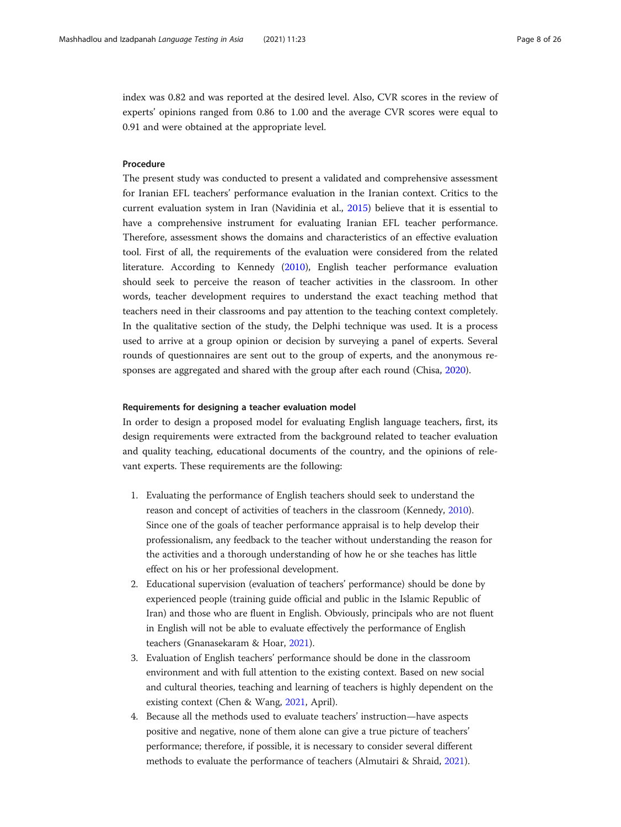index was 0.82 and was reported at the desired level. Also, CVR scores in the review of experts' opinions ranged from 0.86 to 1.00 and the average CVR scores were equal to 0.91 and were obtained at the appropriate level.

## **Procedure**

The present study was conducted to present a validated and comprehensive assessment for Iranian EFL teachers' performance evaluation in the Iranian context. Critics to the current evaluation system in Iran (Navidinia et al., [2015\)](#page-24-0) believe that it is essential to have a comprehensive instrument for evaluating Iranian EFL teacher performance. Therefore, assessment shows the domains and characteristics of an effective evaluation tool. First of all, the requirements of the evaluation were considered from the related literature. According to Kennedy [\(2010\)](#page-24-0), English teacher performance evaluation should seek to perceive the reason of teacher activities in the classroom. In other words, teacher development requires to understand the exact teaching method that teachers need in their classrooms and pay attention to the teaching context completely. In the qualitative section of the study, the Delphi technique was used. It is a process used to arrive at a group opinion or decision by surveying a panel of experts. Several rounds of questionnaires are sent out to the group of experts, and the anonymous responses are aggregated and shared with the group after each round (Chisa, [2020\)](#page-23-0).

#### Requirements for designing a teacher evaluation model

In order to design a proposed model for evaluating English language teachers, first, its design requirements were extracted from the background related to teacher evaluation and quality teaching, educational documents of the country, and the opinions of relevant experts. These requirements are the following:

- 1. Evaluating the performance of English teachers should seek to understand the reason and concept of activities of teachers in the classroom (Kennedy, [2010](#page-24-0)). Since one of the goals of teacher performance appraisal is to help develop their professionalism, any feedback to the teacher without understanding the reason for the activities and a thorough understanding of how he or she teaches has little effect on his or her professional development.
- 2. Educational supervision (evaluation of teachers' performance) should be done by experienced people (training guide official and public in the Islamic Republic of Iran) and those who are fluent in English. Obviously, principals who are not fluent in English will not be able to evaluate effectively the performance of English teachers (Gnanasekaram & Hoar, [2021\)](#page-23-0).
- 3. Evaluation of English teachers' performance should be done in the classroom environment and with full attention to the existing context. Based on new social and cultural theories, teaching and learning of teachers is highly dependent on the existing context (Chen & Wang, [2021,](#page-23-0) April).
- 4. Because all the methods used to evaluate teachers' instruction—have aspects positive and negative, none of them alone can give a true picture of teachers' performance; therefore, if possible, it is necessary to consider several different methods to evaluate the performance of teachers (Almutairi & Shraid, [2021\)](#page-22-0).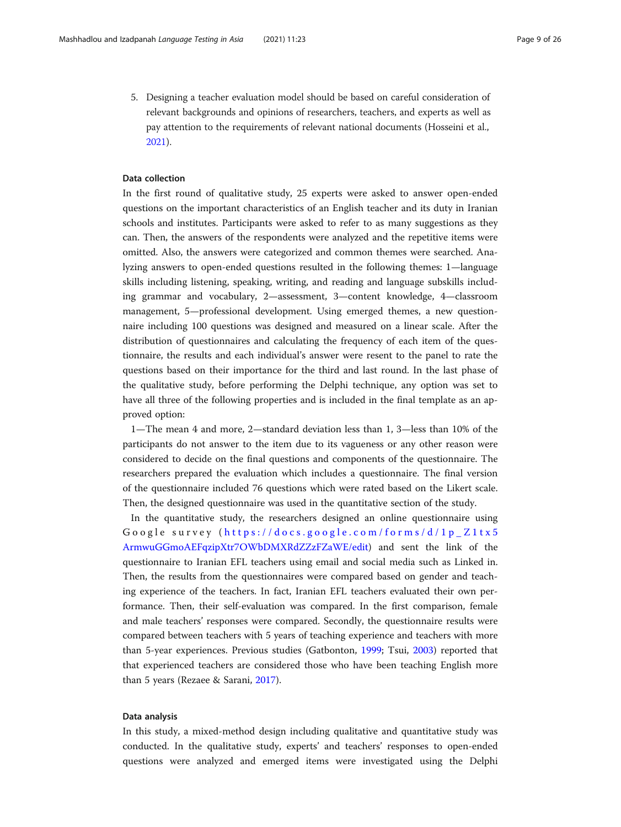5. Designing a teacher evaluation model should be based on careful consideration of relevant backgrounds and opinions of researchers, teachers, and experts as well as pay attention to the requirements of relevant national documents (Hosseini et al., [2021](#page-23-0)).

#### Data collection

In the first round of qualitative study, 25 experts were asked to answer open-ended questions on the important characteristics of an English teacher and its duty in Iranian schools and institutes. Participants were asked to refer to as many suggestions as they can. Then, the answers of the respondents were analyzed and the repetitive items were omitted. Also, the answers were categorized and common themes were searched. Analyzing answers to open-ended questions resulted in the following themes: 1—language skills including listening, speaking, writing, and reading and language subskills including grammar and vocabulary, 2—assessment, 3—content knowledge, 4—classroom management, 5—professional development. Using emerged themes, a new questionnaire including 100 questions was designed and measured on a linear scale. After the distribution of questionnaires and calculating the frequency of each item of the questionnaire, the results and each individual's answer were resent to the panel to rate the questions based on their importance for the third and last round. In the last phase of the qualitative study, before performing the Delphi technique, any option was set to have all three of the following properties and is included in the final template as an approved option:

1—The mean 4 and more, 2—standard deviation less than 1, 3—less than 10% of the participants do not answer to the item due to its vagueness or any other reason were considered to decide on the final questions and components of the questionnaire. The researchers prepared the evaluation which includes a questionnaire. The final version of the questionnaire included 76 questions which were rated based on the Likert scale. Then, the designed questionnaire was used in the quantitative section of the study.

In the quantitative study, the researchers designed an online questionnaire using Google survey ( [https://docs.google.com/forms/d/1p\\_Z1tx5](https://docs.google.com/forms/d/1p_Z1tx5ArmwuGGmoAEFqzipXtr7OWbDMXRdZZzFZaWE/edit) [ArmwuGGmoAEFqzipXtr7OWbDMXRdZZzFZaWE/edit](https://docs.google.com/forms/d/1p_Z1tx5ArmwuGGmoAEFqzipXtr7OWbDMXRdZZzFZaWE/edit)) and sent the link of the questionnaire to Iranian EFL teachers using email and social media such as Linked in. Then, the results from the questionnaires were compared based on gender and teaching experience of the teachers. In fact, Iranian EFL teachers evaluated their own performance. Then, their self-evaluation was compared. In the first comparison, female and male teachers' responses were compared. Secondly, the questionnaire results were compared between teachers with 5 years of teaching experience and teachers with more than 5-year experiences. Previous studies (Gatbonton, [1999](#page-23-0); Tsui, [2003\)](#page-24-0) reported that that experienced teachers are considered those who have been teaching English more than 5 years (Rezaee & Sarani, [2017\)](#page-24-0).

#### Data analysis

In this study, a mixed-method design including qualitative and quantitative study was conducted. In the qualitative study, experts' and teachers' responses to open-ended questions were analyzed and emerged items were investigated using the Delphi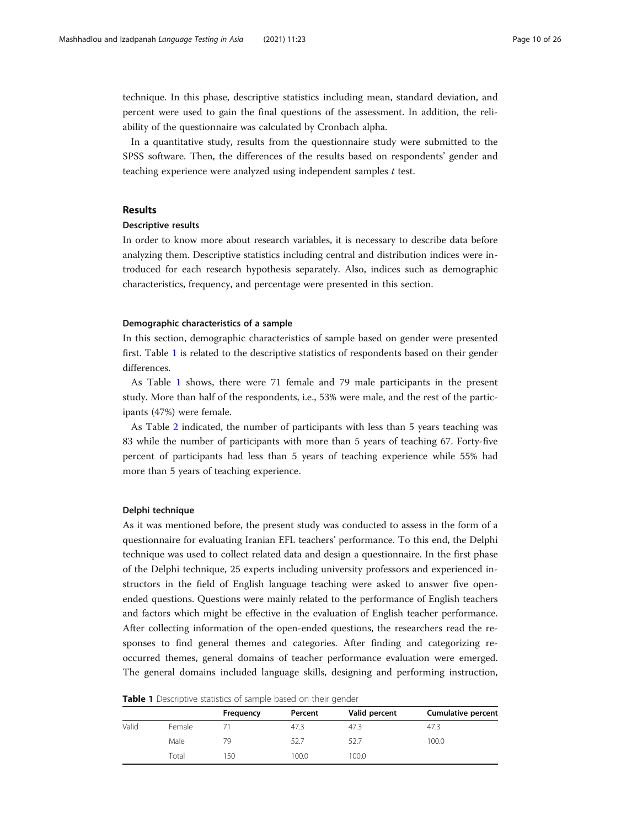technique. In this phase, descriptive statistics including mean, standard deviation, and percent were used to gain the final questions of the assessment. In addition, the reliability of the questionnaire was calculated by Cronbach alpha.

In a quantitative study, results from the questionnaire study were submitted to the SPSS software. Then, the differences of the results based on respondents' gender and teaching experience were analyzed using independent samples t test.

# Results

#### Descriptive results

In order to know more about research variables, it is necessary to describe data before analyzing them. Descriptive statistics including central and distribution indices were introduced for each research hypothesis separately. Also, indices such as demographic characteristics, frequency, and percentage were presented in this section.

#### Demographic characteristics of a sample

In this section, demographic characteristics of sample based on gender were presented first. Table 1 is related to the descriptive statistics of respondents based on their gender differences.

As Table 1 shows, there were 71 female and 79 male participants in the present study. More than half of the respondents, i.e., 53% were male, and the rest of the participants (47%) were female.

As Table [2](#page-10-0) indicated, the number of participants with less than 5 years teaching was 83 while the number of participants with more than 5 years of teaching 67. Forty-five percent of participants had less than 5 years of teaching experience while 55% had more than 5 years of teaching experience.

#### Delphi technique

As it was mentioned before, the present study was conducted to assess in the form of a questionnaire for evaluating Iranian EFL teachers' performance. To this end, the Delphi technique was used to collect related data and design a questionnaire. In the first phase of the Delphi technique, 25 experts including university professors and experienced instructors in the field of English language teaching were asked to answer five openended questions. Questions were mainly related to the performance of English teachers and factors which might be effective in the evaluation of English teacher performance. After collecting information of the open-ended questions, the researchers read the responses to find general themes and categories. After finding and categorizing reoccurred themes, general domains of teacher performance evaluation were emerged. The general domains included language skills, designing and performing instruction,

| Table 1 Descriptive statistics of sample based on their gender |  |  |  |
|----------------------------------------------------------------|--|--|--|
|                                                                |  |  |  |

|       |        | Frequency | Percent | Valid percent | <b>Cumulative percent</b> |
|-------|--------|-----------|---------|---------------|---------------------------|
| Valid | Female |           | 47.3    | 47.3          | 47.3                      |
|       | Male   | 79        | 52.7    | 52.7          | 100.0                     |
|       | Total  | 150       | 100.0   | 100.0         |                           |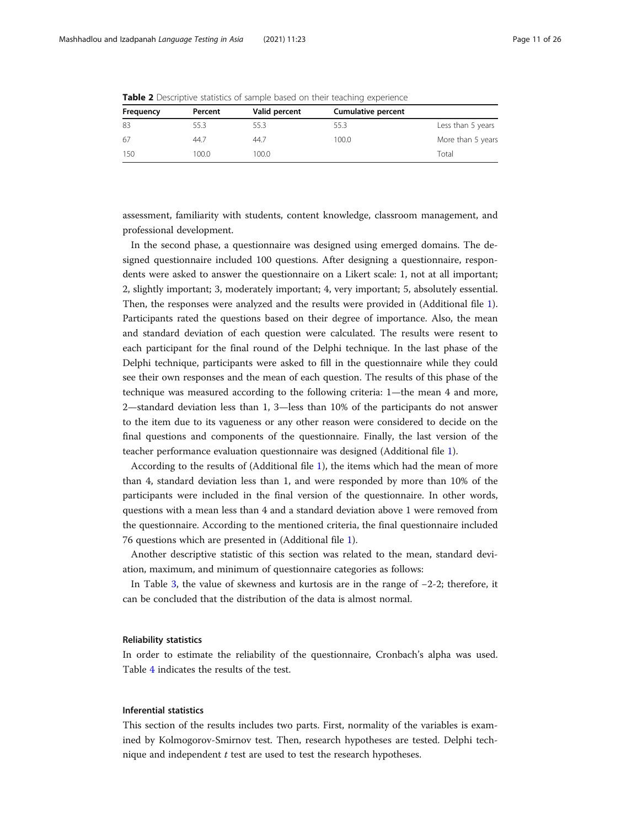| Frequency | Percent | Valid percent | <b>Cumulative percent</b> |                   |
|-----------|---------|---------------|---------------------------|-------------------|
| 83        | 55.3    | 55.3          | 55.3                      | Less than 5 years |
| 67        | 44.7    | 44.7          | 100.0                     | More than 5 years |
| 150       | 100.0   | 100.0         |                           | Total             |

<span id="page-10-0"></span>**Table 2** Descriptive statistics of sample based on their teaching experience

assessment, familiarity with students, content knowledge, classroom management, and professional development.

In the second phase, a questionnaire was designed using emerged domains. The designed questionnaire included 100 questions. After designing a questionnaire, respondents were asked to answer the questionnaire on a Likert scale: 1, not at all important; 2, slightly important; 3, moderately important; 4, very important; 5, absolutely essential. Then, the responses were analyzed and the results were provided in (Additional file [1](#page-21-0)). Participants rated the questions based on their degree of importance. Also, the mean and standard deviation of each question were calculated. The results were resent to each participant for the final round of the Delphi technique. In the last phase of the Delphi technique, participants were asked to fill in the questionnaire while they could see their own responses and the mean of each question. The results of this phase of the technique was measured according to the following criteria: 1—the mean 4 and more, 2—standard deviation less than 1, 3—less than 10% of the participants do not answer to the item due to its vagueness or any other reason were considered to decide on the final questions and components of the questionnaire. Finally, the last version of the teacher performance evaluation questionnaire was designed (Additional file [1](#page-21-0)).

According to the results of (Additional file [1\)](#page-21-0), the items which had the mean of more than 4, standard deviation less than 1, and were responded by more than 10% of the participants were included in the final version of the questionnaire. In other words, questions with a mean less than 4 and a standard deviation above 1 were removed from the questionnaire. According to the mentioned criteria, the final questionnaire included 76 questions which are presented in (Additional file [1\)](#page-21-0).

Another descriptive statistic of this section was related to the mean, standard deviation, maximum, and minimum of questionnaire categories as follows:

In Table [3](#page-11-0), the value of skewness and kurtosis are in the range of −2-2; therefore, it can be concluded that the distribution of the data is almost normal.

#### Reliability statistics

In order to estimate the reliability of the questionnaire, Cronbach's alpha was used. Table [4](#page-11-0) indicates the results of the test.

#### Inferential statistics

This section of the results includes two parts. First, normality of the variables is examined by Kolmogorov-Smirnov test. Then, research hypotheses are tested. Delphi technique and independent  $t$  test are used to test the research hypotheses.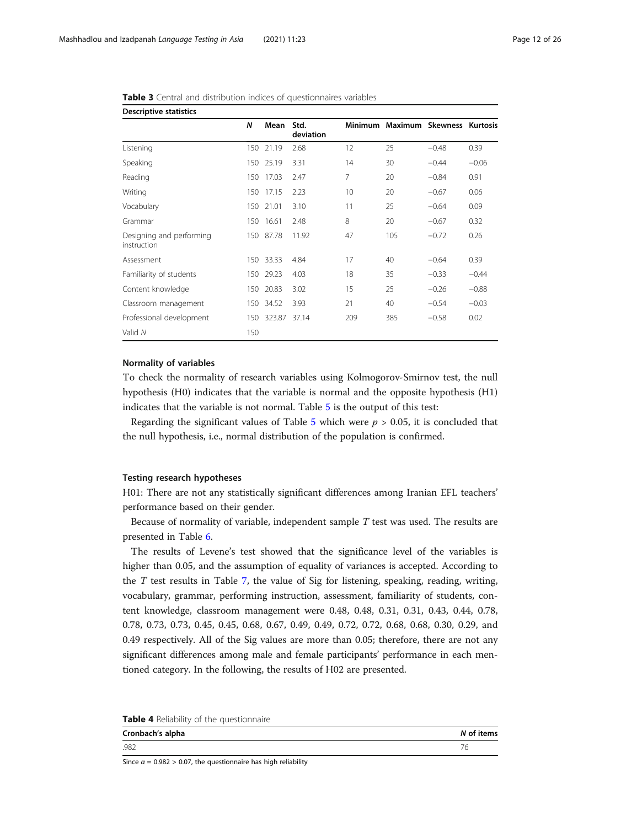| <b>Descriptive statistics</b>           |     |            |                   |     |                                   |         |         |  |  |  |
|-----------------------------------------|-----|------------|-------------------|-----|-----------------------------------|---------|---------|--|--|--|
|                                         | N   | Mean       | Std.<br>deviation |     | Minimum Maximum Skewness Kurtosis |         |         |  |  |  |
| Listening                               |     | 150 21.19  | 2.68              | 12  | 25                                | $-0.48$ | 0.39    |  |  |  |
| Speaking                                |     | 150 25.19  | 3.31              | 14  | 30                                | $-0.44$ | $-0.06$ |  |  |  |
| Reading                                 | 150 | 17.03      | 2.47              | 7   | 20                                | $-0.84$ | 0.91    |  |  |  |
| Writing                                 |     | 150 17.15  | 2.23              | 10  | 20                                | $-0.67$ | 0.06    |  |  |  |
| Vocabulary                              |     | 150 21.01  | 3.10              | 11  | 25                                | $-0.64$ | 0.09    |  |  |  |
| Grammar                                 | 150 | 16.61      | 2.48              | 8   | 20                                | $-0.67$ | 0.32    |  |  |  |
| Designing and performing<br>instruction |     | 150 87.78  | 11.92             | 47  | 105                               | $-0.72$ | 0.26    |  |  |  |
| Assessment                              |     | 150 33.33  | 4.84              | 17  | 40                                | $-0.64$ | 0.39    |  |  |  |
| Familiarity of students                 |     | 150 29.23  | 4.03              | 18  | 35                                | $-0.33$ | $-0.44$ |  |  |  |
| Content knowledge                       | 150 | 20.83      | 3.02              | 15  | 25                                | $-0.26$ | $-0.88$ |  |  |  |
| Classroom management                    |     | 150 34.52  | 3.93              | 21  | 40                                | $-0.54$ | $-0.03$ |  |  |  |
| Professional development                |     | 150 323.87 | 37.14             | 209 | 385                               | $-0.58$ | 0.02    |  |  |  |
| Valid N                                 | 150 |            |                   |     |                                   |         |         |  |  |  |

<span id="page-11-0"></span>

| Table 3 Central and distribution indices of questionnaires variables |  |
|----------------------------------------------------------------------|--|
|----------------------------------------------------------------------|--|

### Normality of variables

To check the normality of research variables using Kolmogorov-Smirnov test, the null hypothesis (H0) indicates that the variable is normal and the opposite hypothesis (H1) indicates that the variable is not normal. Table [5](#page-12-0) is the output of this test:

Regarding the significant values of Table [5](#page-12-0) which were  $p > 0.05$ , it is concluded that the null hypothesis, i.e., normal distribution of the population is confirmed.

#### Testing research hypotheses

H01: There are not any statistically significant differences among Iranian EFL teachers' performance based on their gender.

Because of normality of variable, independent sample T test was used. The results are presented in Table [6](#page-12-0).

The results of Levene's test showed that the significance level of the variables is higher than 0.05, and the assumption of equality of variances is accepted. According to the  $T$  test results in Table [7,](#page-13-0) the value of Sig for listening, speaking, reading, writing, vocabulary, grammar, performing instruction, assessment, familiarity of students, content knowledge, classroom management were 0.48, 0.48, 0.31, 0.31, 0.43, 0.44, 0.78, 0.78, 0.73, 0.73, 0.45, 0.45, 0.68, 0.67, 0.49, 0.49, 0.72, 0.72, 0.68, 0.68, 0.30, 0.29, and 0.49 respectively. All of the Sig values are more than 0.05; therefore, there are not any significant differences among male and female participants' performance in each mentioned category. In the following, the results of H02 are presented.

| Table 4 Reliability of the questionnaire |  |
|------------------------------------------|--|
|------------------------------------------|--|

| Cronbach's alpha | N of items |
|------------------|------------|
| .982             |            |

Since  $\alpha$  = 0.982 > 0.07, the questionnaire has high reliability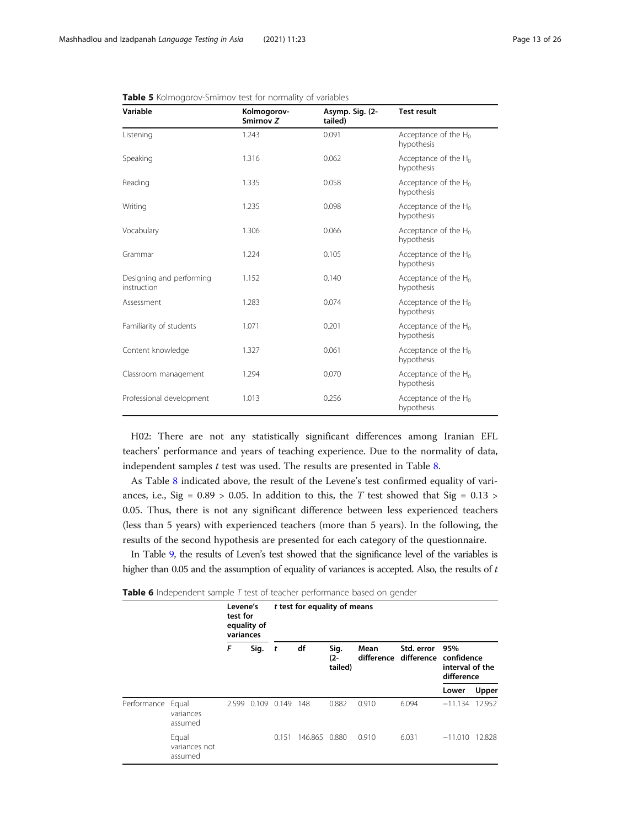| Variable                                | Kolmogorov-<br>Smirnov Z | Asymp. Sig. (2-<br>tailed) | <b>Test result</b>                    |
|-----------------------------------------|--------------------------|----------------------------|---------------------------------------|
| Listening                               | 1.243                    | 0.091                      | Acceptance of the $H_0$<br>hypothesis |
| Speaking                                | 1.316                    | 0.062                      | Acceptance of the $H_0$<br>hypothesis |
| Reading                                 | 1.335                    | 0.058                      | Acceptance of the $H_0$<br>hypothesis |
| Writing                                 | 1.235                    | 0.098                      | Acceptance of the $H_0$<br>hypothesis |
| Vocabulary                              | 1.306                    | 0.066                      | Acceptance of the $H_0$<br>hypothesis |
| Grammar                                 | 1.224                    | 0.105                      | Acceptance of the $H_0$<br>hypothesis |
| Designing and performing<br>instruction | 1.152                    | 0.140                      | Acceptance of the $H_0$<br>hypothesis |
| Assessment                              | 1.283                    | 0.074                      | Acceptance of the $H_0$<br>hypothesis |
| Familiarity of students                 | 1.071                    | 0.201                      | Acceptance of the $H_0$<br>hypothesis |
| Content knowledge                       | 1.327                    | 0.061                      | Acceptance of the $H_0$<br>hypothesis |
| Classroom management                    | 1.294                    | 0.070                      | Acceptance of the $H_0$<br>hypothesis |
| Professional development                | 1.013                    | 0.256                      | Acceptance of the $H_0$<br>hypothesis |

<span id="page-12-0"></span>

| Table 5 Kolmogorov-Smirnov test for normality of variables |  |  |
|------------------------------------------------------------|--|--|
|------------------------------------------------------------|--|--|

H02: There are not any statistically significant differences among Iranian EFL teachers' performance and years of teaching experience. Due to the normality of data, independent samples  $t$  test was used. The results are presented in Table [8.](#page-14-0)

As Table [8](#page-14-0) indicated above, the result of the Levene's test confirmed equality of variances, i.e., Sig =  $0.89 > 0.05$ . In addition to this, the T test showed that Sig =  $0.13 >$ 0.05. Thus, there is not any significant difference between less experienced teachers (less than 5 years) with experienced teachers (more than 5 years). In the following, the results of the second hypothesis are presented for each category of the questionnaire.

In Table [9,](#page-15-0) the results of Leven's test showed that the significance level of the variables is higher than 0.05 and the assumption of equality of variances is accepted. Also, the results of t

|             |                                   | Levene's<br>test for<br>equality of<br>variances |                            | t test for equality of means |                           |       |            |                                                                          |           |        |
|-------------|-----------------------------------|--------------------------------------------------|----------------------------|------------------------------|---------------------------|-------|------------|--------------------------------------------------------------------------|-----------|--------|
|             |                                   | F                                                | df<br>Sig.<br>$\mathbf{t}$ |                              | Sig.<br>$(2 -$<br>tailed) | Mean  | Std. error | 95%<br>difference difference confidence<br>interval of the<br>difference |           |        |
|             |                                   |                                                  |                            |                              |                           |       |            |                                                                          | Lower     | Upper  |
| Performance | Equal<br>variances<br>assumed     | 2.599                                            |                            | 0.109 0.149                  | 148                       | 0.882 | 0.910      | 6.094                                                                    | $-11.134$ | 12.952 |
|             | Equal<br>variances not<br>assumed |                                                  |                            | 0.151                        | 146.865 0.880             |       | 0.910      | 6.031                                                                    | $-11.010$ | 12.828 |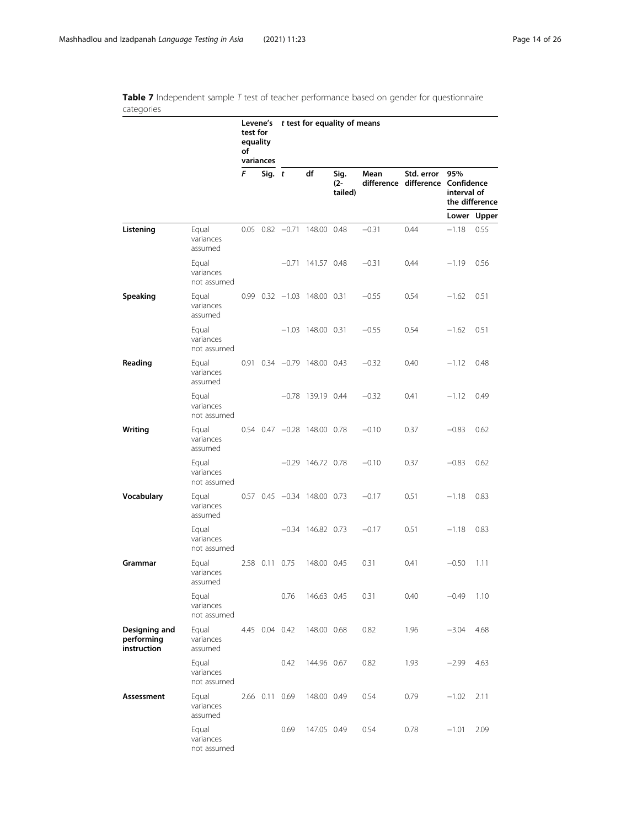<span id="page-13-0"></span>Table 7 Independent sample  $T$  test of teacher performance based on gender for questionnaire categories

|                                            |                                   | test for<br>equality<br>οf | Levene's<br>variances | t test for equality of means |                                   |                           |         |                                                |                    |                |
|--------------------------------------------|-----------------------------------|----------------------------|-----------------------|------------------------------|-----------------------------------|---------------------------|---------|------------------------------------------------|--------------------|----------------|
|                                            |                                   | F                          | Sig. t                |                              | df                                | Sig.<br>$(2 -$<br>tailed) | Mean    | Std. error<br>difference difference Confidence | 95%<br>interval of | the difference |
|                                            |                                   |                            |                       |                              |                                   |                           |         |                                                |                    | Lower Upper    |
| Listening                                  | Equal<br>variances<br>assumed     |                            |                       |                              | $0.05$ $0.82$ $-0.71$ 148.00 0.48 |                           | $-0.31$ | 0.44                                           | $-1.18$            | 0.55           |
|                                            | Equal<br>variances<br>not assumed |                            |                       |                              | $-0.71$ 141.57 0.48               |                           | $-0.31$ | 0.44                                           | $-1.19$            | 0.56           |
| Speaking                                   | Equal<br>variances<br>assumed     |                            |                       |                              | $0.99$ $0.32$ $-1.03$ 148.00 0.31 |                           | $-0.55$ | 0.54                                           | $-1.62$            | 0.51           |
|                                            | Equal<br>variances<br>not assumed |                            |                       |                              | $-1.03$ 148.00 0.31               |                           | $-0.55$ | 0.54                                           | $-1.62$            | 0.51           |
| Reading                                    | Equal<br>variances<br>assumed     |                            |                       |                              | $0.91$ $0.34$ $-0.79$ 148.00 0.43 |                           | $-0.32$ | 0.40                                           | $-1.12$            | 0.48           |
|                                            | Equal<br>variances<br>not assumed |                            |                       |                              | $-0.78$ 139.19 0.44               |                           | $-0.32$ | 0.41                                           | $-1.12$            | 0.49           |
| Writing                                    | Equal<br>variances<br>assumed     |                            |                       |                              | 0.54 0.47 -0.28 148.00 0.78       |                           | $-0.10$ | 0.37                                           | $-0.83$            | 0.62           |
|                                            | Equal<br>variances<br>not assumed |                            |                       |                              | $-0.29$ 146.72 0.78               |                           | $-0.10$ | 0.37                                           | $-0.83$            | 0.62           |
| Vocabulary                                 | Equal<br>variances<br>assumed     |                            |                       |                              | $0.57$ $0.45$ $-0.34$ 148.00 0.73 |                           | $-0.17$ | 0.51                                           | $-1.18$            | 0.83           |
|                                            | Equal<br>variances<br>not assumed |                            |                       |                              | $-0.34$ 146.82 0.73               |                           | $-0.17$ | 0.51                                           | $-1.18$            | 0.83           |
| Grammar                                    | Equal<br>variances<br>assumed     |                            | 2.58 0.11 0.75        |                              | 148.00 0.45                       |                           | 0.31    | 0.41                                           | $-0.50$            | 1.11           |
|                                            | Equal<br>variances<br>not assumed |                            |                       | 0.76                         | 146.63 0.45                       |                           | 0.31    | 0.40                                           | $-0.49$            | 1.10           |
| Designing and<br>performing<br>instruction | Equal<br>variances<br>assumed     |                            | 4.45 0.04 0.42        |                              | 148.00 0.68                       |                           | 0.82    | 1.96                                           | $-3.04$            | 4.68           |
|                                            | Equal<br>variances<br>not assumed |                            |                       | 0.42                         | 144.96 0.67                       |                           | 0.82    | 1.93                                           | $-2.99$            | 4.63           |
| Assessment                                 | Equal<br>variances<br>assumed     |                            |                       | 2.66 0.11 0.69               | 148.00 0.49                       |                           | 0.54    | 0.79                                           | $-1.02$            | 2.11           |
|                                            | Equal<br>variances<br>not assumed |                            |                       | 0.69                         | 147.05 0.49                       |                           | 0.54    | 0.78                                           | $-1.01$            | 2.09           |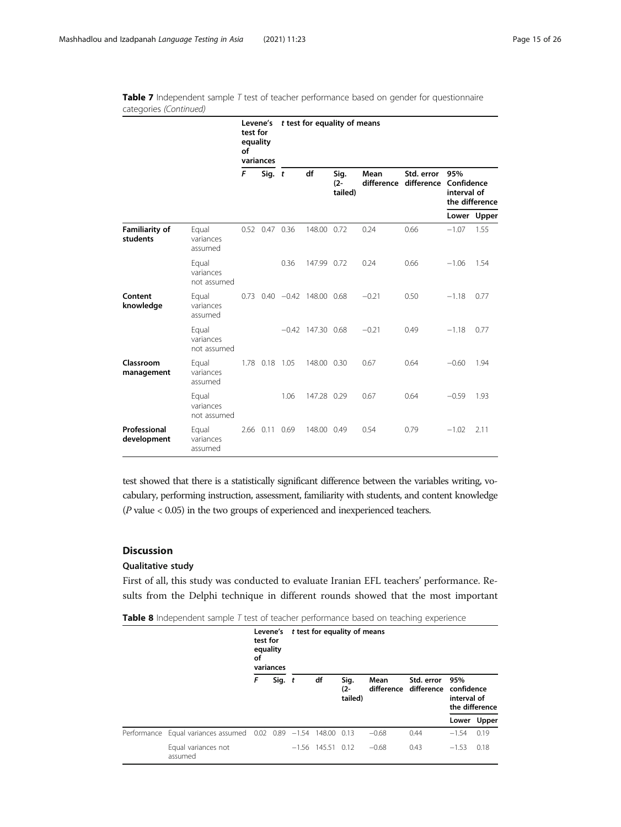|                                   |                                   | Levene's<br>test for<br>equality<br>of<br>variances |                | t test for equality of means |                                   |                           |                    |            |                                                               |             |  |  |
|-----------------------------------|-----------------------------------|-----------------------------------------------------|----------------|------------------------------|-----------------------------------|---------------------------|--------------------|------------|---------------------------------------------------------------|-------------|--|--|
|                                   |                                   | F<br>Sig. t                                         |                |                              | df                                | Sig.<br>$(2 -$<br>tailed) | Mean<br>difference | Std. error | 95%<br>difference Confidence<br>interval of<br>the difference |             |  |  |
|                                   |                                   |                                                     |                |                              |                                   |                           |                    |            |                                                               | Lower Upper |  |  |
| <b>Familiarity of</b><br>students | Equal<br>variances<br>assumed     |                                                     | 0.52 0.47 0.36 |                              | 148.00 0.72                       |                           | 0.24               | 0.66       | $-1.07$                                                       | 1.55        |  |  |
|                                   | Equal<br>variances<br>not assumed |                                                     |                | 0.36                         | 147.99 0.72                       |                           | 0.24               | 0.66       | $-1.06$                                                       | 1.54        |  |  |
| Content<br>knowledge              | Equal<br>variances<br>assumed     |                                                     |                |                              | $0.73$ $0.40$ $-0.42$ 148.00 0.68 |                           | $-0.21$            | 0.50       | $-1.18$                                                       | 0.77        |  |  |
|                                   | Equal<br>variances<br>not assumed |                                                     |                |                              | $-0.42$ 147.30 0.68               |                           | $-0.21$            | 0.49       | $-1.18$                                                       | 0.77        |  |  |
| Classroom<br>management           | Equal<br>variances<br>assumed     |                                                     | 1.78 0.18 1.05 |                              | 148.00 0.30                       |                           | 0.67               | 0.64       | $-0.60$                                                       | 1.94        |  |  |
|                                   | Equal<br>variances<br>not assumed |                                                     |                | 1.06                         | 147.28 0.29                       |                           | 0.67               | 0.64       | $-0.59$                                                       | 1.93        |  |  |
| Professional<br>development       | Equal<br>variances<br>assumed     |                                                     | 2.66 0.11 0.69 |                              | 148.00 0.49                       |                           | 0.54               | 0.79       | $-1.02$                                                       | 2.11        |  |  |

<span id="page-14-0"></span>Table 7 Independent sample  $T$  test of teacher performance based on gender for questionnaire categories (Continued)

test showed that there is a statistically significant difference between the variables writing, vocabulary, performing instruction, assessment, familiarity with students, and content knowledge (P value < 0.05) in the two groups of experienced and inexperienced teachers.

# Discussion

# Qualitative study

First of all, this study was conducted to evaluate Iranian EFL teachers' performance. Results from the Delphi technique in different rounds showed that the most important

|  | Table 8 Independent sample T test of teacher performance based on teaching experience |  |  |  |  |  |  |
|--|---------------------------------------------------------------------------------------|--|--|--|--|--|--|
|--|---------------------------------------------------------------------------------------|--|--|--|--|--|--|

|                                                                 | test for<br>equality<br>οf | variances | Levene's t test for equality of means |                     |                           |         |            |                                                                          |             |  |
|-----------------------------------------------------------------|----------------------------|-----------|---------------------------------------|---------------------|---------------------------|---------|------------|--------------------------------------------------------------------------|-------------|--|
|                                                                 | F                          | Sig. $t$  |                                       | df                  | Sig.<br>$(2 -$<br>tailed) | Mean    | Std. error | 95%<br>difference difference confidence<br>interval of<br>the difference |             |  |
|                                                                 |                            |           |                                       |                     |                           |         |            |                                                                          | Lower Upper |  |
| Performance Equal variances assumed 0.02 0.89 -1.54 148.00 0.13 |                            |           |                                       |                     |                           | $-0.68$ | 0.44       | $-1.54$                                                                  | 0.19        |  |
| Equal variances not<br>assumed                                  |                            |           |                                       | $-1.56$ 145.51 0.12 |                           | $-0.68$ | 0.43       | $-1.53$                                                                  | 0.18        |  |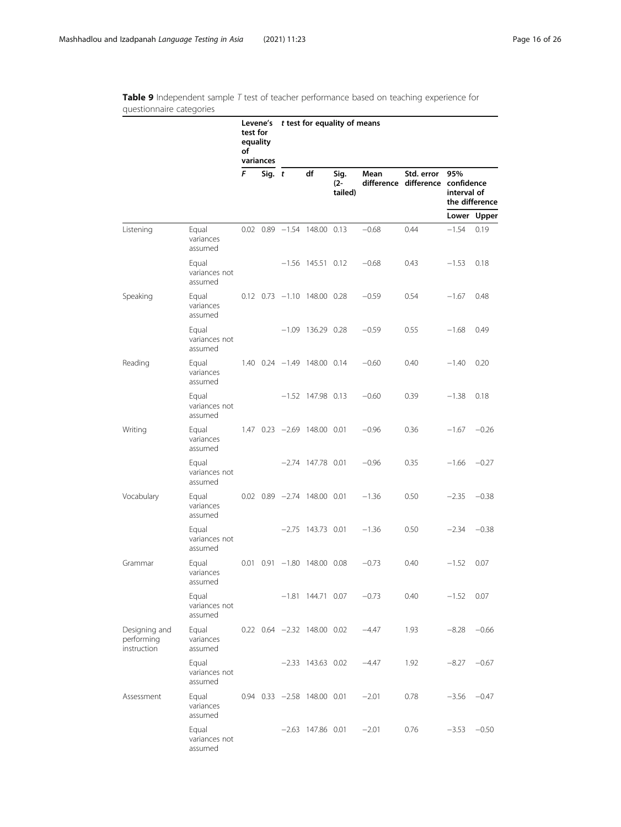assumed

|                                            |                                   | test for<br>equality<br>of | Levene's t test for equality of means<br>variances |  |                                       |                           |         |                                                |                    |                |
|--------------------------------------------|-----------------------------------|----------------------------|----------------------------------------------------|--|---------------------------------------|---------------------------|---------|------------------------------------------------|--------------------|----------------|
|                                            |                                   | F                          | Sig. $t$                                           |  | df                                    | Sig.<br>$(2 -$<br>tailed) | Mean    | Std. error<br>difference difference confidence | 95%<br>interval of | the difference |
|                                            |                                   |                            |                                                    |  |                                       |                           |         |                                                |                    | Lower Upper    |
| Listening                                  | Equal<br>variances<br>assumed     |                            |                                                    |  | $0.02$ $0.89$ $-1.54$ 148.00 0.13     |                           | $-0.68$ | 0.44                                           | $-1.54$            | 0.19           |
|                                            | Equal<br>variances not<br>assumed |                            |                                                    |  | $-1.56$ 145.51 0.12                   |                           | $-0.68$ | 0.43                                           | $-1.53$            | 0.18           |
| Speaking                                   | Equal<br>variances<br>assumed     |                            |                                                    |  | $0.12$ $0.73$ $-1.10$ $148.00$ $0.28$ |                           | $-0.59$ | 0.54                                           | $-1.67$            | 0.48           |
|                                            | Equal<br>variances not<br>assumed |                            |                                                    |  | $-1.09$ 136.29 0.28                   |                           | $-0.59$ | 0.55                                           | $-1.68$            | 0.49           |
| Reading                                    | Equal<br>variances<br>assumed     |                            |                                                    |  | 1.40 0.24 -1.49 148.00 0.14           |                           | $-0.60$ | 0.40                                           | $-1.40$            | 0.20           |
|                                            | Equal<br>variances not<br>assumed |                            |                                                    |  | $-1.52$ 147.98 0.13                   |                           | $-0.60$ | 0.39                                           | $-1.38$            | 0.18           |
| Writing                                    | Equal<br>variances<br>assumed     |                            |                                                    |  | $1.47$ 0.23 $-2.69$ 148.00 0.01       |                           | $-0.96$ | 0.36                                           | $-1.67$            | $-0.26$        |
|                                            | Equal<br>variances not<br>assumed |                            |                                                    |  | $-2.74$ 147.78 0.01                   |                           | $-0.96$ | 0.35                                           | $-1.66$            | $-0.27$        |
| Vocabulary                                 | Equal<br>variances<br>assumed     |                            |                                                    |  | $0.02$ $0.89$ $-2.74$ 148.00 0.01     |                           | $-1.36$ | 0.50                                           | $-2.35$            | $-0.38$        |
|                                            | Equal<br>variances not<br>assumed |                            |                                                    |  | $-2.75$ 143.73 0.01                   |                           | $-1.36$ | 0.50                                           | $-2.34$            | $-0.38$        |
| Grammar                                    | Equal<br>variances<br>assumed     |                            |                                                    |  | $0.01$ $0.91$ $-1.80$ 148.00 0.08     |                           | $-0.73$ | 0.40                                           | $-1.52$            | 0.07           |
|                                            | Equal<br>variances not<br>assumed |                            |                                                    |  | $-1.81$ 144.71 0.07                   |                           | $-0.73$ | 0.40                                           | $-1.52$            | 0.07           |
| Designing and<br>performing<br>instruction | Equal<br>variances<br>assumed     |                            |                                                    |  | $0.22$ $0.64$ $-2.32$ 148.00 0.02     |                           | -4.47   | 1.93                                           | $-8.28$            | $-0.66$        |
|                                            | Equal<br>variances not<br>assumed |                            |                                                    |  | $-2.33$ 143.63 0.02                   |                           | $-4.47$ | 1.92                                           | $-8.27$            | $-0.67$        |
| Assessment                                 | Equal<br>variances<br>assumed     |                            |                                                    |  | $0.94$ $0.33$ $-2.58$ 148.00 0.01     |                           | $-2.01$ | 0.78                                           |                    | $-3.56 -0.47$  |
|                                            | Equal<br>variances not            |                            |                                                    |  | $-2.63$ 147.86 0.01                   |                           | $-2.01$ | 0.76                                           | $-3.53$            | $-0.50$        |

<span id="page-15-0"></span>Table 9 Independent sample T test of teacher performance based on teaching experience for questionnaire categories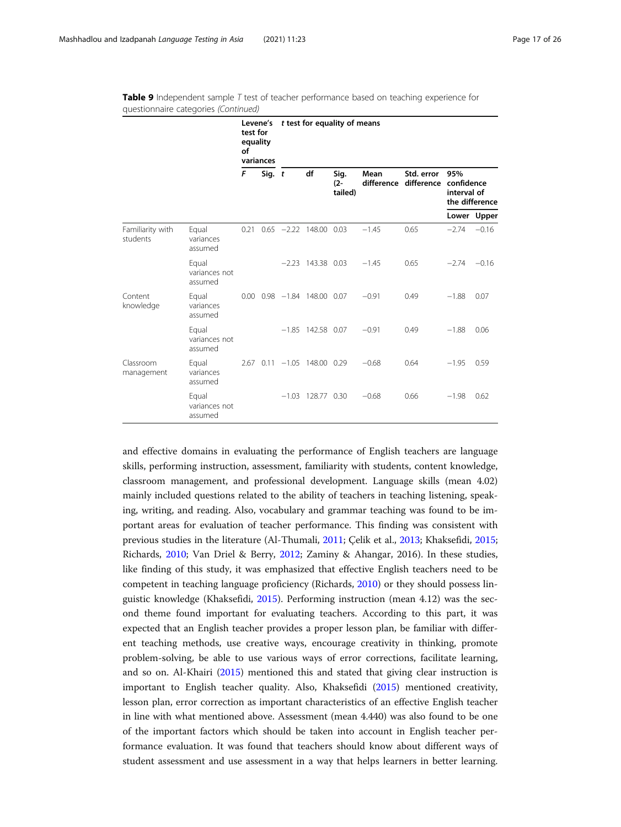|                              |                                   | test for<br>equality<br>of<br>variances |  | Levene's t test for equality of means |                                   |                           |         |            |                                                                          |             |  |  |
|------------------------------|-----------------------------------|-----------------------------------------|--|---------------------------------------|-----------------------------------|---------------------------|---------|------------|--------------------------------------------------------------------------|-------------|--|--|
|                              |                                   | F<br>Sig. $t$                           |  |                                       | df                                | Sig.<br>$(2 -$<br>tailed) | Mean    | Std. error | 95%<br>difference difference confidence<br>interval of<br>the difference |             |  |  |
|                              |                                   |                                         |  |                                       |                                   |                           |         |            |                                                                          | Lower Upper |  |  |
| Familiarity with<br>students | Equal<br>variances<br>assumed     | 0.21                                    |  |                                       | $0.65 -2.22$ 148.00 0.03          |                           | $-1.45$ | 0.65       | $-2.74$                                                                  | $-0.16$     |  |  |
|                              | Equal<br>variances not<br>assumed |                                         |  |                                       | $-2.23$ 143.38 0.03               |                           | $-1.45$ | 0.65       | $-2.74$                                                                  | $-0.16$     |  |  |
| Content<br>knowledge         | Equal<br>variances<br>assumed     |                                         |  |                                       | $0.00$ $0.98$ $-1.84$ 148.00 0.07 |                           | $-0.91$ | 0.49       | $-1.88$                                                                  | 0.07        |  |  |
|                              | Equal<br>variances not<br>assumed |                                         |  |                                       | $-1.85$ 142.58 0.07               |                           | $-0.91$ | 0.49       | $-1.88$                                                                  | 0.06        |  |  |
| Classroom<br>management      | Equal<br>variances<br>assumed     |                                         |  |                                       | 2.67 0.11 -1.05 148.00 0.29       |                           | $-0.68$ | 0.64       | $-1.95$                                                                  | 0.59        |  |  |
|                              | Equal<br>variances not<br>assumed |                                         |  |                                       | $-1.03$ 128.77 0.30               |                           | $-0.68$ | 0.66       | $-1.98$                                                                  | 0.62        |  |  |

Table 9 Independent sample T test of teacher performance based on teaching experience for questionnaire categories (Continued)

and effective domains in evaluating the performance of English teachers are language skills, performing instruction, assessment, familiarity with students, content knowledge, classroom management, and professional development. Language skills (mean 4.02) mainly included questions related to the ability of teachers in teaching listening, speaking, writing, and reading. Also, vocabulary and grammar teaching was found to be important areas for evaluation of teacher performance. This finding was consistent with previous studies in the literature (Al-Thumali, [2011](#page-22-0); Çelik et al., [2013](#page-23-0); Khaksefidi, [2015](#page-24-0); Richards, [2010;](#page-24-0) Van Driel & Berry, [2012;](#page-24-0) Zaminy & Ahangar, 2016). In these studies, like finding of this study, it was emphasized that effective English teachers need to be competent in teaching language proficiency (Richards, [2010](#page-24-0)) or they should possess linguistic knowledge (Khaksefidi, [2015](#page-24-0)). Performing instruction (mean 4.12) was the second theme found important for evaluating teachers. According to this part, it was expected that an English teacher provides a proper lesson plan, be familiar with different teaching methods, use creative ways, encourage creativity in thinking, promote problem-solving, be able to use various ways of error corrections, facilitate learning, and so on. Al-Khairi [\(2015\)](#page-22-0) mentioned this and stated that giving clear instruction is important to English teacher quality. Also, Khaksefidi ([2015](#page-24-0)) mentioned creativity, lesson plan, error correction as important characteristics of an effective English teacher in line with what mentioned above. Assessment (mean 4.440) was also found to be one of the important factors which should be taken into account in English teacher performance evaluation. It was found that teachers should know about different ways of student assessment and use assessment in a way that helps learners in better learning.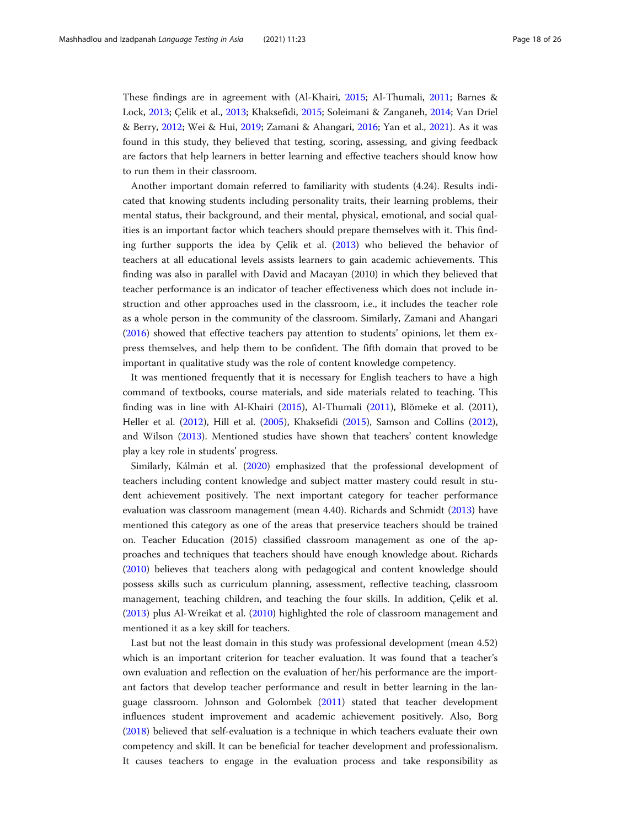These findings are in agreement with (Al-Khairi, [2015;](#page-22-0) Al-Thumali, [2011;](#page-22-0) Barnes & Lock, [2013](#page-22-0); Çelik et al., [2013](#page-23-0); Khaksefidi, [2015;](#page-24-0) Soleimani & Zanganeh, [2014](#page-24-0); Van Driel & Berry, [2012;](#page-24-0) Wei & Hui, [2019;](#page-24-0) Zamani & Ahangari, [2016;](#page-25-0) Yan et al., [2021](#page-25-0)). As it was found in this study, they believed that testing, scoring, assessing, and giving feedback are factors that help learners in better learning and effective teachers should know how to run them in their classroom.

Another important domain referred to familiarity with students (4.24). Results indicated that knowing students including personality traits, their learning problems, their mental status, their background, and their mental, physical, emotional, and social qualities is an important factor which teachers should prepare themselves with it. This finding further supports the idea by Çelik et al. ([2013](#page-23-0)) who believed the behavior of teachers at all educational levels assists learners to gain academic achievements. This finding was also in parallel with David and Macayan (2010) in which they believed that teacher performance is an indicator of teacher effectiveness which does not include instruction and other approaches used in the classroom, i.e., it includes the teacher role as a whole person in the community of the classroom. Similarly, Zamani and Ahangari ([2016](#page-25-0)) showed that effective teachers pay attention to students' opinions, let them express themselves, and help them to be confident. The fifth domain that proved to be important in qualitative study was the role of content knowledge competency.

It was mentioned frequently that it is necessary for English teachers to have a high command of textbooks, course materials, and side materials related to teaching. This finding was in line with Al-Khairi ([2015\)](#page-22-0), Al-Thumali ([2011\)](#page-22-0), Blömeke et al. (2011), Heller et al. [\(2012](#page-23-0)), Hill et al. ([2005](#page-23-0)), Khaksefidi ([2015](#page-24-0)), Samson and Collins ([2012](#page-24-0)), and Wilson ([2013](#page-25-0)). Mentioned studies have shown that teachers' content knowledge play a key role in students' progress.

Similarly, Kálmán et al. [\(2020](#page-24-0)) emphasized that the professional development of teachers including content knowledge and subject matter mastery could result in student achievement positively. The next important category for teacher performance evaluation was classroom management (mean 4.40). Richards and Schmidt ([2013\)](#page-24-0) have mentioned this category as one of the areas that preservice teachers should be trained on. Teacher Education (2015) classified classroom management as one of the approaches and techniques that teachers should have enough knowledge about. Richards ([2010](#page-24-0)) believes that teachers along with pedagogical and content knowledge should possess skills such as curriculum planning, assessment, reflective teaching, classroom management, teaching children, and teaching the four skills. In addition, Çelik et al. ([2013](#page-23-0)) plus Al-Wreikat et al. ([2010\)](#page-22-0) highlighted the role of classroom management and mentioned it as a key skill for teachers.

Last but not the least domain in this study was professional development (mean 4.52) which is an important criterion for teacher evaluation. It was found that a teacher's own evaluation and reflection on the evaluation of her/his performance are the important factors that develop teacher performance and result in better learning in the language classroom. Johnson and Golombek [\(2011\)](#page-23-0) stated that teacher development influences student improvement and academic achievement positively. Also, Borg ([2018](#page-23-0)) believed that self-evaluation is a technique in which teachers evaluate their own competency and skill. It can be beneficial for teacher development and professionalism. It causes teachers to engage in the evaluation process and take responsibility as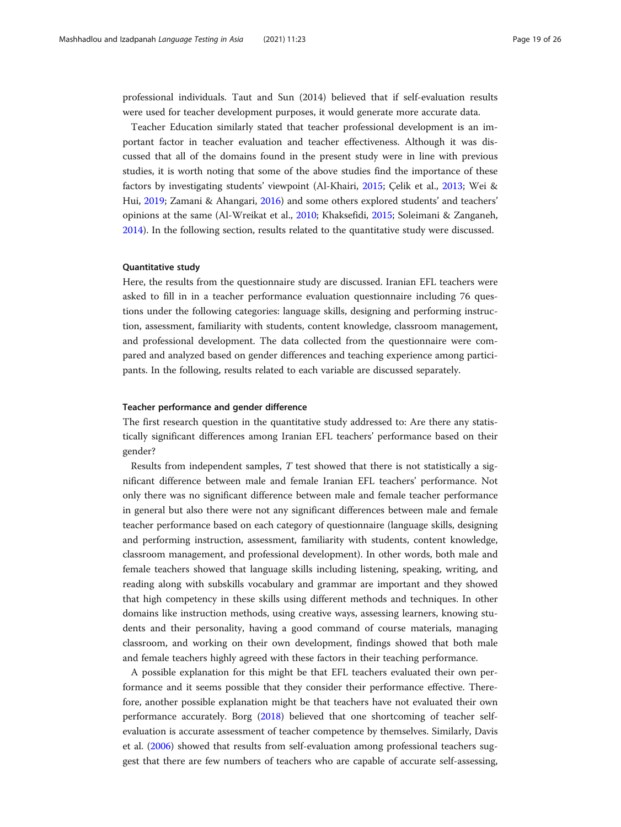professional individuals. Taut and Sun (2014) believed that if self-evaluation results were used for teacher development purposes, it would generate more accurate data.

Teacher Education similarly stated that teacher professional development is an important factor in teacher evaluation and teacher effectiveness. Although it was discussed that all of the domains found in the present study were in line with previous studies, it is worth noting that some of the above studies find the importance of these factors by investigating students' viewpoint (Al-Khairi, [2015](#page-22-0); Çelik et al., [2013;](#page-23-0) Wei & Hui, [2019;](#page-24-0) Zamani & Ahangari, [2016](#page-25-0)) and some others explored students' and teachers' opinions at the same (Al-Wreikat et al., [2010;](#page-22-0) Khaksefidi, [2015](#page-24-0); Soleimani & Zanganeh, [2014](#page-24-0)). In the following section, results related to the quantitative study were discussed.

#### Quantitative study

Here, the results from the questionnaire study are discussed. Iranian EFL teachers were asked to fill in in a teacher performance evaluation questionnaire including 76 questions under the following categories: language skills, designing and performing instruction, assessment, familiarity with students, content knowledge, classroom management, and professional development. The data collected from the questionnaire were compared and analyzed based on gender differences and teaching experience among participants. In the following, results related to each variable are discussed separately.

#### Teacher performance and gender difference

The first research question in the quantitative study addressed to: Are there any statistically significant differences among Iranian EFL teachers' performance based on their gender?

Results from independent samples, T test showed that there is not statistically a significant difference between male and female Iranian EFL teachers' performance. Not only there was no significant difference between male and female teacher performance in general but also there were not any significant differences between male and female teacher performance based on each category of questionnaire (language skills, designing and performing instruction, assessment, familiarity with students, content knowledge, classroom management, and professional development). In other words, both male and female teachers showed that language skills including listening, speaking, writing, and reading along with subskills vocabulary and grammar are important and they showed that high competency in these skills using different methods and techniques. In other domains like instruction methods, using creative ways, assessing learners, knowing students and their personality, having a good command of course materials, managing classroom, and working on their own development, findings showed that both male and female teachers highly agreed with these factors in their teaching performance.

A possible explanation for this might be that EFL teachers evaluated their own performance and it seems possible that they consider their performance effective. Therefore, another possible explanation might be that teachers have not evaluated their own performance accurately. Borg ([2018\)](#page-23-0) believed that one shortcoming of teacher selfevaluation is accurate assessment of teacher competence by themselves. Similarly, Davis et al. [\(2006\)](#page-23-0) showed that results from self-evaluation among professional teachers suggest that there are few numbers of teachers who are capable of accurate self-assessing,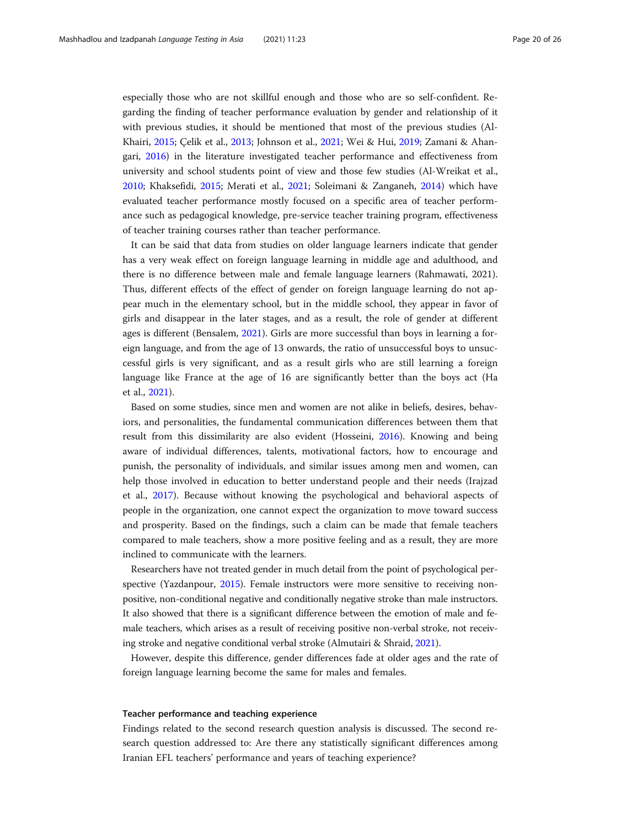especially those who are not skillful enough and those who are so self-confident. Regarding the finding of teacher performance evaluation by gender and relationship of it with previous studies, it should be mentioned that most of the previous studies (Al-Khairi, [2015](#page-22-0); Çelik et al., [2013](#page-23-0); Johnson et al., [2021](#page-23-0); Wei & Hui, [2019;](#page-24-0) Zamani & Ahangari, [2016](#page-25-0)) in the literature investigated teacher performance and effectiveness from university and school students point of view and those few studies (Al-Wreikat et al., [2010](#page-22-0); Khaksefidi, [2015;](#page-24-0) Merati et al., [2021;](#page-24-0) Soleimani & Zanganeh, [2014](#page-24-0)) which have evaluated teacher performance mostly focused on a specific area of teacher performance such as pedagogical knowledge, pre-service teacher training program, effectiveness of teacher training courses rather than teacher performance.

It can be said that data from studies on older language learners indicate that gender has a very weak effect on foreign language learning in middle age and adulthood, and there is no difference between male and female language learners (Rahmawati, 2021). Thus, different effects of the effect of gender on foreign language learning do not appear much in the elementary school, but in the middle school, they appear in favor of girls and disappear in the later stages, and as a result, the role of gender at different ages is different (Bensalem, [2021](#page-23-0)). Girls are more successful than boys in learning a foreign language, and from the age of 13 onwards, the ratio of unsuccessful boys to unsuccessful girls is very significant, and as a result girls who are still learning a foreign language like France at the age of 16 are significantly better than the boys act (Ha et al., [2021\)](#page-23-0).

Based on some studies, since men and women are not alike in beliefs, desires, behaviors, and personalities, the fundamental communication differences between them that result from this dissimilarity are also evident (Hosseini, [2016](#page-23-0)). Knowing and being aware of individual differences, talents, motivational factors, how to encourage and punish, the personality of individuals, and similar issues among men and women, can help those involved in education to better understand people and their needs (Irajzad et al., [2017](#page-23-0)). Because without knowing the psychological and behavioral aspects of people in the organization, one cannot expect the organization to move toward success and prosperity. Based on the findings, such a claim can be made that female teachers compared to male teachers, show a more positive feeling and as a result, they are more inclined to communicate with the learners.

Researchers have not treated gender in much detail from the point of psychological perspective (Yazdanpour, [2015](#page-25-0)). Female instructors were more sensitive to receiving nonpositive, non-conditional negative and conditionally negative stroke than male instructors. It also showed that there is a significant difference between the emotion of male and female teachers, which arises as a result of receiving positive non-verbal stroke, not receiving stroke and negative conditional verbal stroke (Almutairi & Shraid, [2021\)](#page-22-0).

However, despite this difference, gender differences fade at older ages and the rate of foreign language learning become the same for males and females.

#### Teacher performance and teaching experience

Findings related to the second research question analysis is discussed. The second research question addressed to: Are there any statistically significant differences among Iranian EFL teachers' performance and years of teaching experience?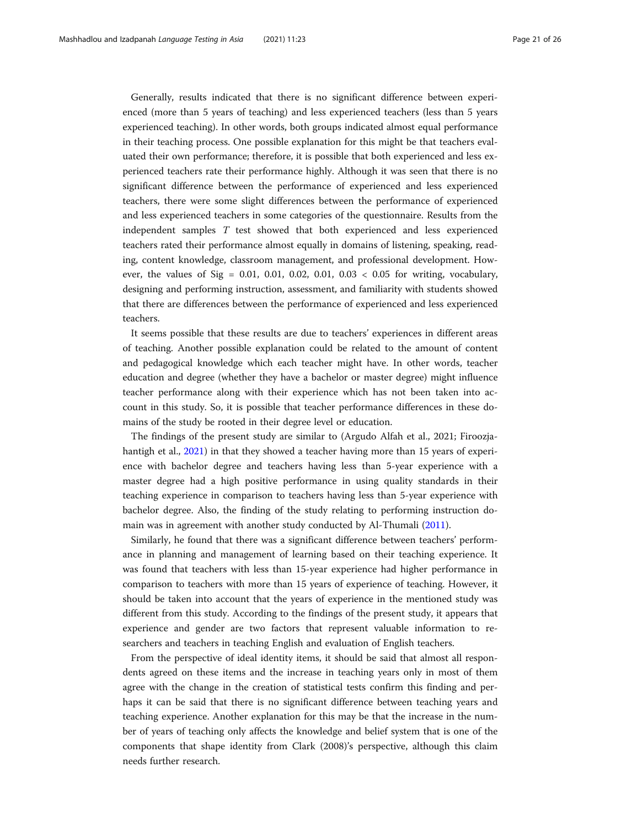Generally, results indicated that there is no significant difference between experienced (more than 5 years of teaching) and less experienced teachers (less than 5 years experienced teaching). In other words, both groups indicated almost equal performance in their teaching process. One possible explanation for this might be that teachers evaluated their own performance; therefore, it is possible that both experienced and less experienced teachers rate their performance highly. Although it was seen that there is no significant difference between the performance of experienced and less experienced teachers, there were some slight differences between the performance of experienced and less experienced teachers in some categories of the questionnaire. Results from the independent samples T test showed that both experienced and less experienced teachers rated their performance almost equally in domains of listening, speaking, reading, content knowledge, classroom management, and professional development. However, the values of Sig =  $0.01$ ,  $0.01$ ,  $0.02$ ,  $0.01$ ,  $0.03 < 0.05$  for writing, vocabulary, designing and performing instruction, assessment, and familiarity with students showed that there are differences between the performance of experienced and less experienced teachers.

It seems possible that these results are due to teachers' experiences in different areas of teaching. Another possible explanation could be related to the amount of content and pedagogical knowledge which each teacher might have. In other words, teacher education and degree (whether they have a bachelor or master degree) might influence teacher performance along with their experience which has not been taken into account in this study. So, it is possible that teacher performance differences in these domains of the study be rooted in their degree level or education.

The findings of the present study are similar to (Argudo Alfah et al., 2021; Firoozjahantigh et al., [2021\)](#page-23-0) in that they showed a teacher having more than 15 years of experience with bachelor degree and teachers having less than 5-year experience with a master degree had a high positive performance in using quality standards in their teaching experience in comparison to teachers having less than 5-year experience with bachelor degree. Also, the finding of the study relating to performing instruction domain was in agreement with another study conducted by Al-Thumali ([2011\)](#page-22-0).

Similarly, he found that there was a significant difference between teachers' performance in planning and management of learning based on their teaching experience. It was found that teachers with less than 15-year experience had higher performance in comparison to teachers with more than 15 years of experience of teaching. However, it should be taken into account that the years of experience in the mentioned study was different from this study. According to the findings of the present study, it appears that experience and gender are two factors that represent valuable information to researchers and teachers in teaching English and evaluation of English teachers.

From the perspective of ideal identity items, it should be said that almost all respondents agreed on these items and the increase in teaching years only in most of them agree with the change in the creation of statistical tests confirm this finding and perhaps it can be said that there is no significant difference between teaching years and teaching experience. Another explanation for this may be that the increase in the number of years of teaching only affects the knowledge and belief system that is one of the components that shape identity from Clark (2008)'s perspective, although this claim needs further research.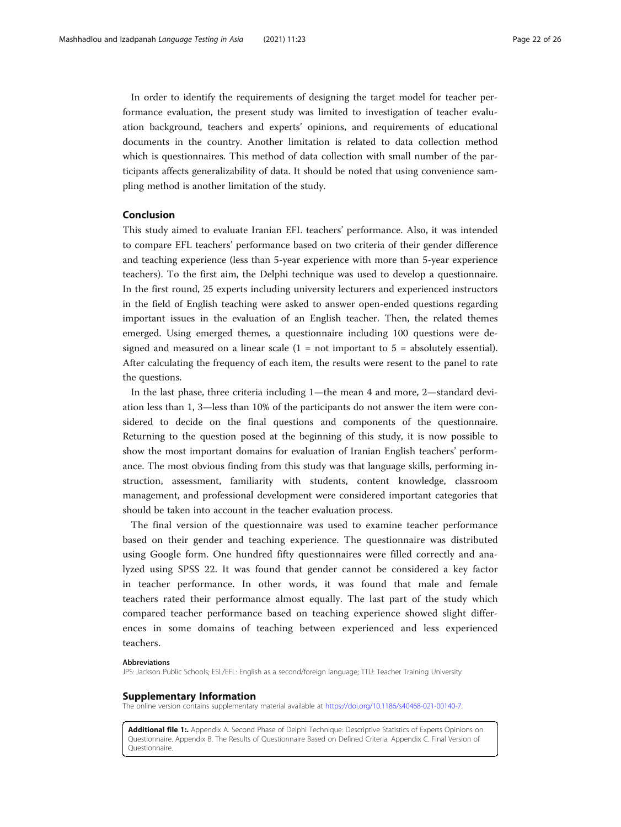<span id="page-21-0"></span>In order to identify the requirements of designing the target model for teacher performance evaluation, the present study was limited to investigation of teacher evaluation background, teachers and experts' opinions, and requirements of educational documents in the country. Another limitation is related to data collection method which is questionnaires. This method of data collection with small number of the participants affects generalizability of data. It should be noted that using convenience sampling method is another limitation of the study.

### Conclusion

This study aimed to evaluate Iranian EFL teachers' performance. Also, it was intended to compare EFL teachers' performance based on two criteria of their gender difference and teaching experience (less than 5-year experience with more than 5-year experience teachers). To the first aim, the Delphi technique was used to develop a questionnaire. In the first round, 25 experts including university lecturers and experienced instructors in the field of English teaching were asked to answer open-ended questions regarding important issues in the evaluation of an English teacher. Then, the related themes emerged. Using emerged themes, a questionnaire including 100 questions were designed and measured on a linear scale  $(1 = not important to 5 = absolutely essential)$ . After calculating the frequency of each item, the results were resent to the panel to rate the questions.

In the last phase, three criteria including 1—the mean 4 and more, 2—standard deviation less than 1, 3—less than 10% of the participants do not answer the item were considered to decide on the final questions and components of the questionnaire. Returning to the question posed at the beginning of this study, it is now possible to show the most important domains for evaluation of Iranian English teachers' performance. The most obvious finding from this study was that language skills, performing instruction, assessment, familiarity with students, content knowledge, classroom management, and professional development were considered important categories that should be taken into account in the teacher evaluation process.

The final version of the questionnaire was used to examine teacher performance based on their gender and teaching experience. The questionnaire was distributed using Google form. One hundred fifty questionnaires were filled correctly and analyzed using SPSS 22. It was found that gender cannot be considered a key factor in teacher performance. In other words, it was found that male and female teachers rated their performance almost equally. The last part of the study which compared teacher performance based on teaching experience showed slight differences in some domains of teaching between experienced and less experienced teachers.

#### Abbreviations

JPS: Jackson Public Schools; ESL/EFL: English as a second/foreign language; TTU: Teacher Training University

#### Supplementary Information

The online version contains supplementary material available at [https://doi.org/10.1186/s40468-021-00140-7.](https://doi.org/10.1186/s40468-021-00140-7)

Additional file 1:. Appendix A. Second Phase of Delphi Technique: Descriptive Statistics of Experts Opinions on Questionnaire. Appendix B. The Results of Questionnaire Based on Defined Criteria. Appendix C. Final Version of Questionnaire.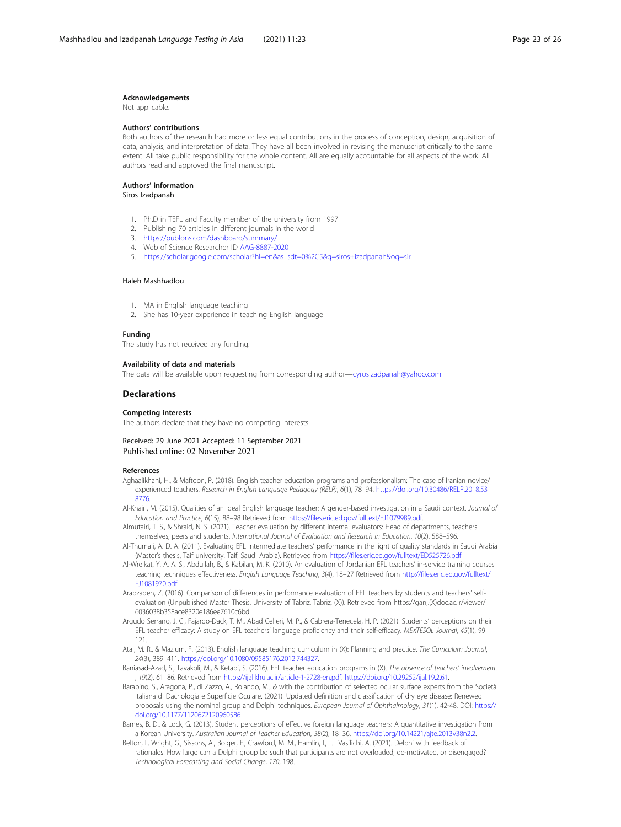#### <span id="page-22-0"></span>Acknowledgements

Not applicable.

#### Authors' contributions

Both authors of the research had more or less equal contributions in the process of conception, design, acquisition of data, analysis, and interpretation of data. They have all been involved in revising the manuscript critically to the same extent. All take public responsibility for the whole content. All are equally accountable for all aspects of the work. All authors read and approved the final manuscript.

### Authors' information

Siros Izadpanah

- 1. Ph.D in TEFL and Faculty member of the university from 1997
- 2. Publishing 70 articles in different journals in the world
- 3. <https://publons.com/dashboard/summary/>
- 4. Web of Science Researcher ID [AAG-8887-2020](https://publons.com/researcher/AAG-8887-2020/)
- 5. [https://scholar.google.com/scholar?hl=en&as\\_sdt=0%2C5&q=siros+izadpanah&oq=sir](https://scholar.google.com/scholar?hl=en&as_sdt=0%2C5&q=siros+izadpanah&oq=sir)

#### Haleh Mashhadlou

- 1. MA in English language teaching
- 2. She has 10-year experience in teaching English language

#### Funding

The study has not received any funding.

#### Availability of data and materials

The data will be available upon requesting from corresponding author—[cyrosizadpanah@yahoo.com](mailto:cyrosizadpanah@yahoo.com)

#### **Declarations**

#### Competing interests

The authors declare that they have no competing interests.

#### Received: 29 June 2021 Accepted: 11 September 2021 Published online: 02 November 2021

#### References

- Aghaalikhani, H., & Maftoon, P. (2018). English teacher education programs and professionalism: The case of Iranian novice/ experienced teachers. Research in English Language Pedagogy (RELP), 6(1), 78–94. [https://doi.org/10.30486/RELP.2018.53](https://doi.org/10.30486/RELP.2018.538776) [8776](https://doi.org/10.30486/RELP.2018.538776).
- Al-Khairi, M. (2015). Qualities of an ideal English language teacher: A gender-based investigation in a Saudi context. Journal of Education and Practice, 6(15), 88–98 Retrieved from <https://files.eric.ed.gov/fulltext/EJ1079989.pdf>.
- Almutairi, T. S., & Shraid, N. S. (2021). Teacher evaluation by different internal evaluators: Head of departments, teachers themselves, peers and students. International Journal of Evaluation and Research in Education, 10(2), 588–596.
- Al-Thumali, A. D. A. (2011). Evaluating EFL intermediate teachers' performance in the light of quality standards in Saudi Arabia (Master's thesis, Taif university, Taif, Saudi Arabia). Retrieved from <https://files.eric.ed.gov/fulltext/ED525726.pdf>
- Al-Wreikat, Y. A. A. S., Abdullah, B., & Kabilan, M. K. (2010). An evaluation of Jordanian EFL teachers' in-service training courses teaching techniques effectiveness. English Language Teaching, 3(4), 18–27 Retrieved from [http://files.eric.ed.gov/fulltext/](http://files.eric.ed.gov/fulltext/EJ1081970.pdf) [EJ1081970.pdf](http://files.eric.ed.gov/fulltext/EJ1081970.pdf).
- Arabzadeh, Z. (2016). Comparison of differences in performance evaluation of EFL teachers by students and teachers' selfevaluation (Unpublished Master Thesis, University of Tabriz, Tabriz, (X)). Retrieved from https://ganj.(X)doc.ac.ir/viewer/ 6036038b358ace8320e186ee7610c6bd
- Argudo Serrano, J. C., Fajardo-Dack, T. M., Abad Celleri, M. P., & Cabrera-Tenecela, H. P. (2021). Students' perceptions on their EFL teacher efficacy: A study on EFL teachers' language proficiency and their self-efficacy. MEXTESOL Journal, 45(1), 99– 121.
- Atai, M. R., & Mazlum, F. (2013). English language teaching curriculum in (X): Planning and practice. The Curriculum Journal, 24(3), 389–411. <https://doi.org/10.1080/09585176.2012.744327>.
- Baniasad-Azad, S., Tavakoli, M., & Ketabi, S. (2016). EFL teacher education programs in (X). The absence of teachers' involvement. , 19(2), 61–86. Retrieved from [https://ijal.khu.ac.ir/article-1-2728-en.pdf.](https://ijal.khu.ac.ir/article-1-2728-en.pdf) [https://doi.org/10.29252/ijal.19.2.61.](https://doi.org/10.29252/ijal.19.2.61)
- Barabino, S., Aragona, P., di Zazzo, A., Rolando, M., & with the contribution of selected ocular surface experts from the Società Italiana di Dacriologia e Superficie Oculare. (2021). Updated definition and classification of dry eye disease: Renewed proposals using the nominal group and Delphi techniques. European Journal of Ophthalmology, 31(1), 42-48, DOI: [https://](https://doi.org/10.1177/1120672120960586) [doi.org/10.1177/1120672120960586](https://doi.org/10.1177/1120672120960586)
- Barnes, B. D., & Lock, G. (2013). Student perceptions of effective foreign language teachers: A quantitative investigation from a Korean University. Australian Journal of Teacher Education, 38(2), 18–36. <https://doi.org/10.14221/ajte.2013v38n2.2>.
- Belton, I., Wright, G., Sissons, A., Bolger, F., Crawford, M. M., Hamlin, I., … Vasilichi, A. (2021). Delphi with feedback of rationales: How large can a Delphi group be such that participants are not overloaded, de-motivated, or disengaged? Technological Forecasting and Social Change, 170, 198.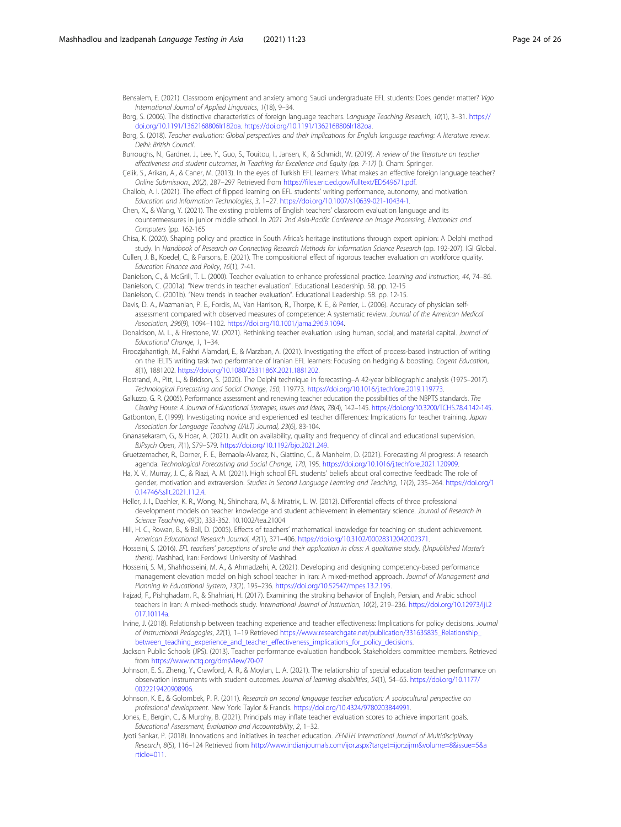<span id="page-23-0"></span>Bensalem, E. (2021). Classroom enjoyment and anxiety among Saudi undergraduate EFL students: Does gender matter? Vigo International Journal of Applied Linguistics, 1(18), 9–34.

Borg, S. (2006). The distinctive characteristics of foreign language teachers. Language Teaching Research, 10(1), 3–31. [https://](https://doi.org/10.1191/1362168806lr182oa) [doi.org/10.1191/1362168806lr182oa](https://doi.org/10.1191/1362168806lr182oa). [https://doi.org/10.1191/1362168806lr182oa.](https://doi.org/10.1191/1362168806lr182oa)

Borg, S. (2018). Teacher evaluation: Global perspectives and their implications for English language teaching: A literature review. Delhi: British Council.

- Burroughs, N., Gardner, J., Lee, Y., Guo, S., Touitou, I., Jansen, K., & Schmidt, W. (2019). A review of the literature on teacher effectiveness and student outcomes, In Teaching for Excellence and Equity (pp. 7-17) (). Cham: Springer.
- Çelik, S., Arikan, A., & Caner, M. (2013). In the eyes of Turkish EFL learners: What makes an effective foreign language teacher? Online Submission., 20(2), 287–297 Retrieved from [https://files.eric.ed.gov/fulltext/ED549671.pdf.](https://files.eric.ed.gov/fulltext/ED549671.pdf)
- Challob, A. I. (2021). The effect of flipped learning on EFL students' writing performance, autonomy, and motivation. Education and Information Technologies, 3, 1–27. <https://doi.org/10.1007/s10639-021-10434-1>.
- Chen, X., & Wang, Y. (2021). The existing problems of English teachers' classroom evaluation language and its countermeasures in junior middle school. In 2021 2nd Asia-Pacific Conference on Image Processing, Electronics and Computers (pp. 162-165)
- Chisa, K. (2020). Shaping policy and practice in South Africa's heritage institutions through expert opinion: A Delphi method study. In Handbook of Research on Connecting Research Methods for Information Science Research (pp. 192-207). IGI Global.

Cullen, J. B., Koedel, C., & Parsons, E. (2021). The compositional effect of rigorous teacher evaluation on workforce quality. Education Finance and Policy, 16(1), 7-41.

Danielson, C., & McGrill, T. L. (2000). Teacher evaluation to enhance professional practice. Learning and Instruction, 44, 74–86. Danielson, C. (2001a). "New trends in teacher evaluation". Educational Leadership. 58. pp. 12-15

Danielson, C. (2001b). "New trends in teacher evaluation". Educational Leadership. 58. pp. 12-15.

Davis, D. A., Mazmanian, P. E., Fordis, M., Van Harrison, R., Thorpe, K. E., & Perrier, L. (2006). Accuracy of physician selfassessment compared with observed measures of competence: A systematic review. Journal of the American Medical Association, 296(9), 1094–1102. [https://doi.org/10.1001/jama.296.9.1094.](https://doi.org/10.1001/jama.296.9.1094)

- Donaldson, M. L., & Firestone, W. (2021). Rethinking teacher evaluation using human, social, and material capital. Journal of Educational Change, 1, 1–34.
- Firoozjahantigh, M., Fakhri Alamdari, E., & Marzban, A. (2021). Investigating the effect of process-based instruction of writing on the IELTS writing task two performance of Iranian EFL learners: Focusing on hedging & boosting. Cogent Education, 8(1), 1881202. <https://doi.org/10.1080/2331186X.2021.1881202>.

Flostrand, A., Pitt, L., & Bridson, S. (2020). The Delphi technique in forecasting–A 42-year bibliographic analysis (1975–2017). Technological Forecasting and Social Change, 150, 119773. <https://doi.org/10.1016/j.techfore.2019.119773>.

- Galluzzo, G. R. (2005). Performance assessment and renewing teacher education the possibilities of the NBPTS standards. The Clearing House: A Journal of Educational Strategies, Issues and Ideas, 78(4), 142–145. <https://doi.org/10.3200/TCHS.78.4.142-145>.
- Gatbonton, E. (1999). Investigating novice and experienced esl teacher differences: Implications for teacher training. Japan Association for Language Teaching (JALT) Journal, 23(6), 83-104.
- Gnanasekaram, G., & Hoar, A. (2021). Audit on availability, quality and frequency of clincal and educational supervision. BJPsych Open, 7(1), S79–S79. <https://doi.org/10.1192/bjo.2021.249>.
- Gruetzemacher, R., Dorner, F. E., Bernaola-Alvarez, N., Giattino, C., & Manheim, D. (2021). Forecasting AI progress: A research agenda. Technological Forecasting and Social Change, 170, 195. <https://doi.org/10.1016/j.techfore.2021.120909>.
- Ha, X. V., Murray, J. C., & Riazi, A. M. (2021). High school EFL students' beliefs about oral corrective feedback: The role of gender, motivation and extraversion. Studies in Second Language Learning and Teaching, 11(2), 235–264. [https://doi.org/1](https://doi.org/10.14746/ssllt.2021.11.2.4) [0.14746/ssllt.2021.11.2.4](https://doi.org/10.14746/ssllt.2021.11.2.4).
- Heller, J. I., Daehler, K. R., Wong, N., Shinohara, M., & Miratrix, L. W. (2012). Differential effects of three professional development models on teacher knowledge and student achievement in elementary science. Journal of Research in Science Teaching, 49(3), 333-362. 10.1002/tea.21004
- Hill, H. C., Rowan, B., & Ball, D. (2005). Effects of teachers' mathematical knowledge for teaching on student achievement. American Educational Research Journal, 42(1), 371–406. <https://doi.org/10.3102/00028312042002371>.
- Hosseini, S. (2016). EFL teachers' perceptions of stroke and their application in class: A qualitative study. (Unpublished Master's thesis). Mashhad, Iran: Ferdowsi University of Mashhad.
- Hosseini, S. M., Shahhosseini, M. A., & Ahmadzehi, A. (2021). Developing and designing competency-based performance management elevation model on high school teacher in Iran: A mixed-method approach. Journal of Management and Planning In Educational System, 13(2), 195–236. [https://doi.org/10.52547/mpes.13.2.195.](https://doi.org/10.52547/mpes.13.2.195)
- Irajzad, F., Pishghadam, R., & Shahriari, H. (2017). Examining the stroking behavior of English, Persian, and Arabic school teachers in Iran: A mixed-methods study. International Journal of Instruction, 10(2), 219–236. [https://doi.org/10.12973/iji.2](https://doi.org/10.12973/iji.2017.10114a) [017.10114a](https://doi.org/10.12973/iji.2017.10114a).
- Irvine, J. (2018). Relationship between teaching experience and teacher effectiveness: Implications for policy decisions. Journal of Instructional Pedagogies, 22(1), 1–19 Retrieved [https://www.researchgate.net/publication/331635835\\_Relationship\\_](https://www.researchgate.net/publication/331635835_Relationship_between_teaching_experience_and_teacher_effectiveness_implications_for_policy_decisions) [between\\_teaching\\_experience\\_and\\_teacher\\_effectiveness\\_implications\\_for\\_policy\\_decisions.](https://www.researchgate.net/publication/331635835_Relationship_between_teaching_experience_and_teacher_effectiveness_implications_for_policy_decisions)
- Jackson Public Schools (JPS). (2013). Teacher performance evaluation handbook. Stakeholders committee members. Retrieved from <https://www.nctq.org/dmsView/70-07>
- Johnson, E. S., Zheng, Y., Crawford, A. R., & Moylan, L. A. (2021). The relationship of special education teacher performance on observation instruments with student outcomes. Journal of learning disabilities, 54(1), 54–65. [https://doi.org/10.1177/](https://doi.org/10.1177/0022219420908906) [0022219420908906](https://doi.org/10.1177/0022219420908906).
- Johnson, K. E., & Golombek, P. R. (2011). Research on second language teacher education: A sociocultural perspective on professional development. New York: Taylor & Francis. <https://doi.org/10.4324/9780203844991>.
- Jones, E., Bergin, C., & Murphy, B. (2021). Principals may inflate teacher evaluation scores to achieve important goals. Educational Assessment, Evaluation and Accountability, 2, 1–32.
- Jyoti Sankar, P. (2018). Innovations and initiatives in teacher education. ZENITH International Journal of Multidisciplinary Research, 8(5), 116–124 Retrieved from [http://www.indianjournals.com/ijor.aspx?target=ijor:zijmr&volume=8&issue=5&a](http://www.indianjournals.com/ijor.aspx?target=ijor:zijmr&volume=8&issue=5&article=011) [rticle=011.](http://www.indianjournals.com/ijor.aspx?target=ijor:zijmr&volume=8&issue=5&article=011)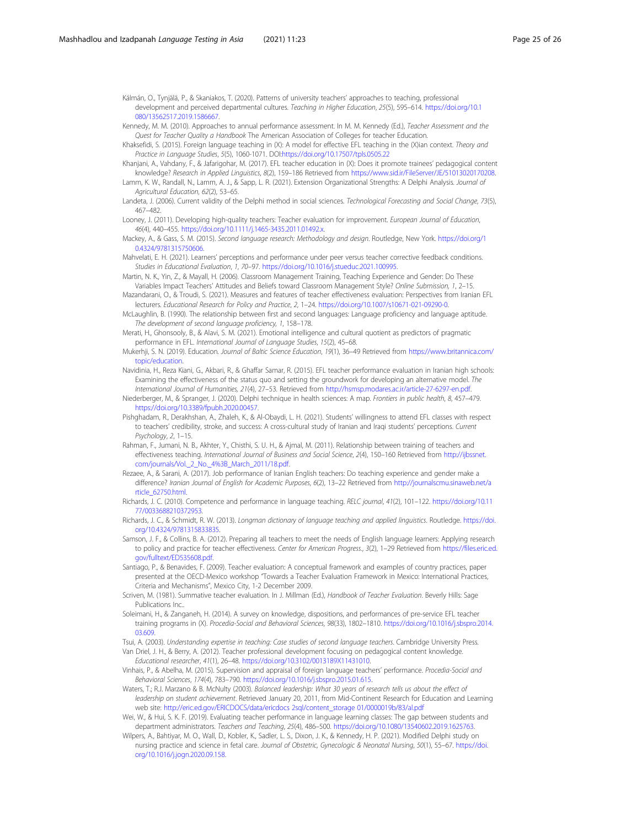<span id="page-24-0"></span>Kálmán, O., Tynjälä, P., & Skaniakos, T. (2020). Patterns of university teachers' approaches to teaching, professional development and perceived departmental cultures. Teaching in Higher Education, 25(5), 595–614. [https://doi.org/10.1](https://doi.org/10.1080/13562517.2019.1586667) 080/13562517.2019.1586667

- Kennedy, M. M. (2010). Approaches to annual performance assessment. In M. M. Kennedy (Ed.), Teacher Assessment and the Quest for Teacher Quality a Handbook The American Association of Colleges for teacher Education.
- Khaksefidi, S. (2015). Foreign language teaching in (X): A model for effective EFL teaching in the (X)ian context. Theory and Practice in Language Studies, 5(5), 1060-1071. DOI[:https://doi.org/10.17507/tpls.0505.22](https://doi.org/10.17507/tpls.0505.22)
- Khanjani, A., Vahdany, F., & Jafarigohar, M. (2017). EFL teacher education in (X): Does it promote trainees' pedagogical content knowledge? Research in Applied Linguistics, 8(2), 159–186 Retrieved from [https://www.sid.ir/FileServer/JE/51013020170208.](https://www.sid.ir/FileServer/JE/51013020170208)
- Lamm, K. W., Randall, N., Lamm, A. J., & Sapp, L. R. (2021). Extension Organizational Strengths: A Delphi Analysis. Journal of Agricultural Education, 62(2), 53–65.
- Landeta, J. (2006). Current validity of the Delphi method in social sciences. Technological Forecasting and Social Change, 73(5), 467–482.
- Looney, J. (2011). Developing high-quality teachers: Teacher evaluation for improvement. European Journal of Education, 46(4), 440–455. [https://doi.org/10.1111/j.1465-3435.2011.01492.x.](https://doi.org/10.1111/j.1465-3435.2011.01492.x)
- Mackey, A., & Gass, S. M. (2015). Second language research: Methodology and design. Routledge, New York. [https://doi.org/1](https://doi.org/10.4324/9781315750606) [0.4324/9781315750606.](https://doi.org/10.4324/9781315750606)
- Mahvelati, E. H. (2021). Learners' perceptions and performance under peer versus teacher corrective feedback conditions. Studies in Educational Evaluation, 1, 70–97. [https://doi.org/10.1016/j.stueduc.2021.100995.](https://doi.org/10.1016/j.stueduc.2021.100995)
- Martin, N. K., Yin, Z., & Mayall, H. (2006). Classroom Management Training, Teaching Experience and Gender: Do These Variables Impact Teachers' Attitudes and Beliefs toward Classroom Management Style? Online Submission, 1, 2–15.
- Mazandarani, O., & Troudi, S. (2021). Measures and features of teacher effectiveness evaluation: Perspectives from Iranian EFL lecturers. Educational Research for Policy and Practice, 2, 1–24. <https://doi.org/10.1007/s10671-021-09290-0>.
- McLaughlin, B. (1990). The relationship between first and second languages: Language proficiency and language aptitude. The development of second language proficiency, 1, 158–178.
- Merati, H., Ghonsooly, B., & Alavi, S. M. (2021). Emotional intelligence and cultural quotient as predictors of pragmatic performance in EFL. International Journal of Language Studies, 15(2), 45–68.
- Mukerhji, S. N. (2019). Education. Journal of Baltic Science Education, 19(1), 36–49 Retrieved from [https://www.britannica.com/](https://www.britannica.com/topic/education) [topic/education.](https://www.britannica.com/topic/education)
- Navidinia, H., Reza Kiani, G., Akbari, R., & Ghaffar Samar, R. (2015). EFL teacher performance evaluation in Iranian high schools: Examining the effectiveness of the status quo and setting the groundwork for developing an alternative model. The International Journal of Humanities, 21(4), 27–53. Retrieved from <http://hsmsp.modares.ac.ir/article-27-6297-en.pdf>.
- Niederberger, M., & Spranger, J. (2020). Delphi technique in health sciences: A map. Frontiers in public health, 8, 457–479. <https://doi.org/10.3389/fpubh.2020.00457>.
- Pishghadam, R., Derakhshan, A., Zhaleh, K., & Al-Obaydi, L. H. (2021). Students' willingness to attend EFL classes with respect to teachers' credibility, stroke, and success: A cross-cultural study of Iranian and Iraqi students' perceptions. Current Psychology, 2, 1–15.
- Rahman, F., Jumani, N. B., Akhter, Y., Chisthi, S. U. H., & Ajmal, M. (2011). Relationship between training of teachers and effectiveness teaching. International Journal of Business and Social Science, 2(4), 150–160 Retrieved from [http://ijbssnet.](http://ijbssnet.com/journals/Vol._2_No._4%3B_March_2011/18.pdf) [com/journals/Vol.\\_2\\_No.\\_4%3B\\_March\\_2011/18.pdf](http://ijbssnet.com/journals/Vol._2_No._4%3B_March_2011/18.pdf).
- Rezaee, A., & Sarani, A. (2017). Job performance of Iranian English teachers: Do teaching experience and gender make a difference? Iranian Journal of English for Academic Purposes, 6(2), 13–22 Retrieved from [http://journalscmu.sinaweb.net/a](http://journalscmu.sinaweb.net/article_62750.html) [rticle\\_62750.html](http://journalscmu.sinaweb.net/article_62750.html).
- Richards, J. C. (2010). Competence and performance in language teaching. RELC journal, 41(2), 101–122. [https://doi.org/10.11](https://doi.org/10.1177/0033688210372953) [77/0033688210372953](https://doi.org/10.1177/0033688210372953).
- Richards, J. C., & Schmidt, R. W. (2013). Longman dictionary of language teaching and applied linguistics. Routledge. [https://doi.](https://doi.org/10.4324/9781315833835) [org/10.4324/9781315833835](https://doi.org/10.4324/9781315833835).
- Samson, J. F., & Collins, B. A. (2012). Preparing all teachers to meet the needs of English language learners: Applying research to policy and practice for teacher effectiveness. Center for American Progress., 3(2), 1-29 Retrieved from [https://files.eric.ed.](https://files.eric.ed.gov/fulltext/ED535608.pdf) [gov/fulltext/ED535608.pdf.](https://files.eric.ed.gov/fulltext/ED535608.pdf)
- Santiago, P., & Benavides, F. (2009). Teacher evaluation: A conceptual framework and examples of country practices, paper presented at the OECD-Mexico workshop "Towards a Teacher Evaluation Framework in Mexico: International Practices, Criteria and Mechanisms", Mexico City, 1-2 December 2009.
- Scriven, M. (1981). Summative teacher evaluation. In J. Millman (Ed.), Handbook of Teacher Evaluation. Beverly Hills: Sage Publications Inc..
- Soleimani, H., & Zanganeh, H. (2014). A survey on knowledge, dispositions, and performances of pre-service EFL teacher training programs in (X). Procedia-Social and Behavioral Sciences, 98(33), 1802–1810. [https://doi.org/10.1016/j.sbspro.2014.](https://doi.org/10.1016/j.sbspro.2014.03.609) [03.609.](https://doi.org/10.1016/j.sbspro.2014.03.609)
- Tsui, A. (2003). Understanding expertise in teaching: Case studies of second language teachers. Cambridge University Press. Van Driel, J. H., & Berry, A. (2012). Teacher professional development focusing on pedagogical content knowledge.
	- Educational researcher, 41(1), 26–48. [https://doi.org/10.3102/0013189X11431010.](https://doi.org/10.3102/0013189X11431010)
- Vinhais, P., & Abelha, M. (2015). Supervision and appraisal of foreign language teachers' performance. Procedia-Social and Behavioral Sciences, 174(4), 783–790. <https://doi.org/10.1016/j.sbspro.2015.01.615>.
- Waters, T.; R.J. Marzano & B. McNulty (2003). Balanced leadership: What 30 years of research tells us about the effect of leadership on student achievement. Retrieved January 20, 2011, from Mid-Continent Research for Education and Learning web site: [http://eric.ed.gov/ERICDOCS/data/ericdocs 2sql/content\\_storage 01/0000019b/83/al.pdf](http://eric.ed.gov/ERICDOCS/data/ericdocs%202sql/content_storage%2001/0000019b/83/al.pdf)
- Wei, W., & Hui, S. K. F. (2019). Evaluating teacher performance in language learning classes: The gap between students and department administrators. Teachers and Teaching, 25(4), 486–500. [https://doi.org/10.1080/13540602.2019.1625763.](https://doi.org/10.1080/13540602.2019.1625763)
- Wilpers, A., Bahtiyar, M. O., Wall, D., Kobler, K., Sadler, L. S., Dixon, J. K., & Kennedy, H. P. (2021). Modified Delphi study on nursing practice and science in fetal care. Journal of Obstetric, Gynecologic & Neonatal Nursing, 50(1), 55–67. [https://doi.](https://doi.org/10.1016/j.jogn.2020.09.158) [org/10.1016/j.jogn.2020.09.158.](https://doi.org/10.1016/j.jogn.2020.09.158)